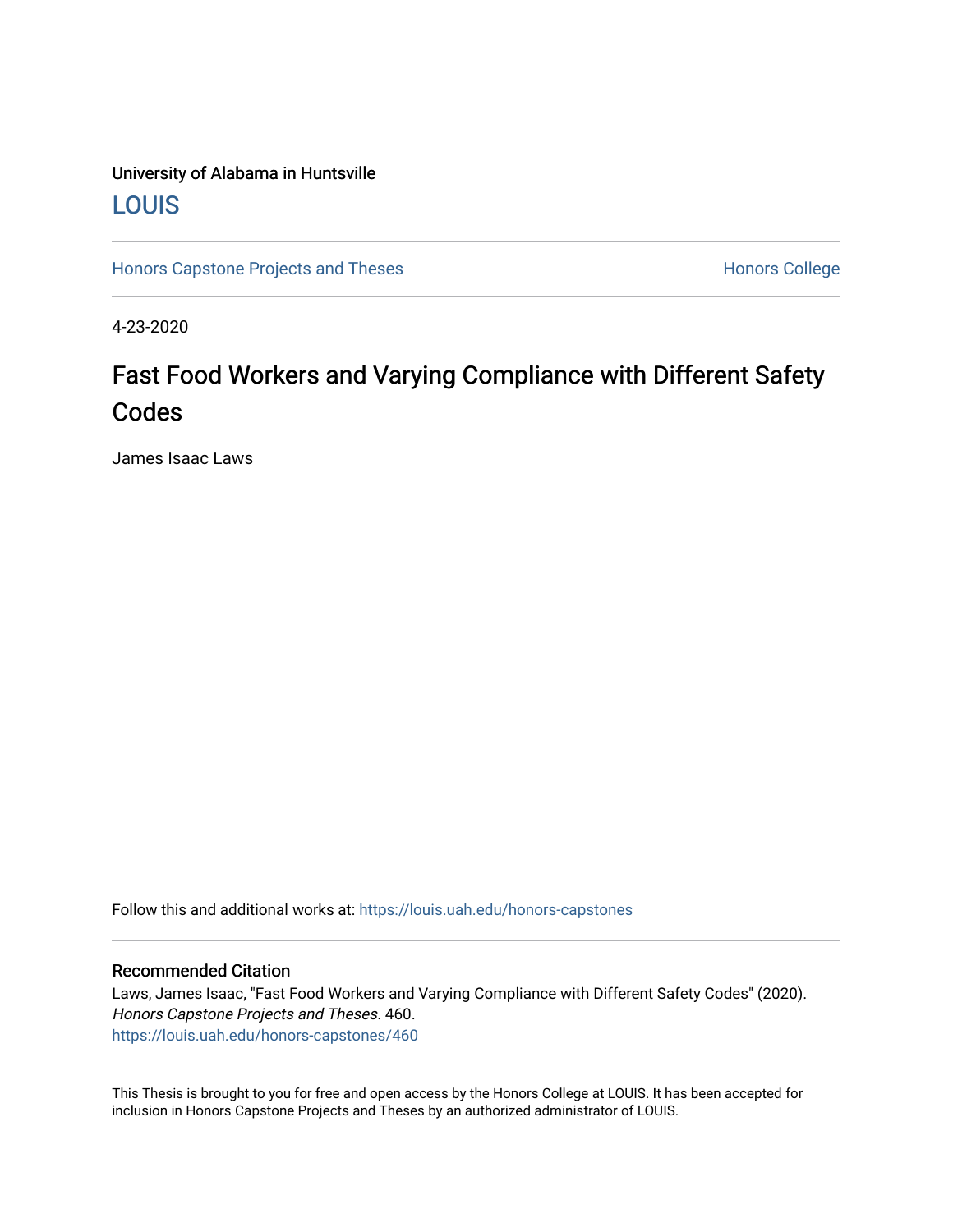## University of Alabama in Huntsville [LOUIS](https://louis.uah.edu/)

[Honors Capstone Projects and Theses](https://louis.uah.edu/honors-capstones) **Honors College** Honors College

4-23-2020

## Fast Food Workers and Varying Compliance with Different Safety Codes

James Isaac Laws

Follow this and additional works at: [https://louis.uah.edu/honors-capstones](https://louis.uah.edu/honors-capstones?utm_source=louis.uah.edu%2Fhonors-capstones%2F460&utm_medium=PDF&utm_campaign=PDFCoverPages) 

#### Recommended Citation

Laws, James Isaac, "Fast Food Workers and Varying Compliance with Different Safety Codes" (2020). Honors Capstone Projects and Theses. 460. [https://louis.uah.edu/honors-capstones/460](https://louis.uah.edu/honors-capstones/460?utm_source=louis.uah.edu%2Fhonors-capstones%2F460&utm_medium=PDF&utm_campaign=PDFCoverPages) 

This Thesis is brought to you for free and open access by the Honors College at LOUIS. It has been accepted for inclusion in Honors Capstone Projects and Theses by an authorized administrator of LOUIS.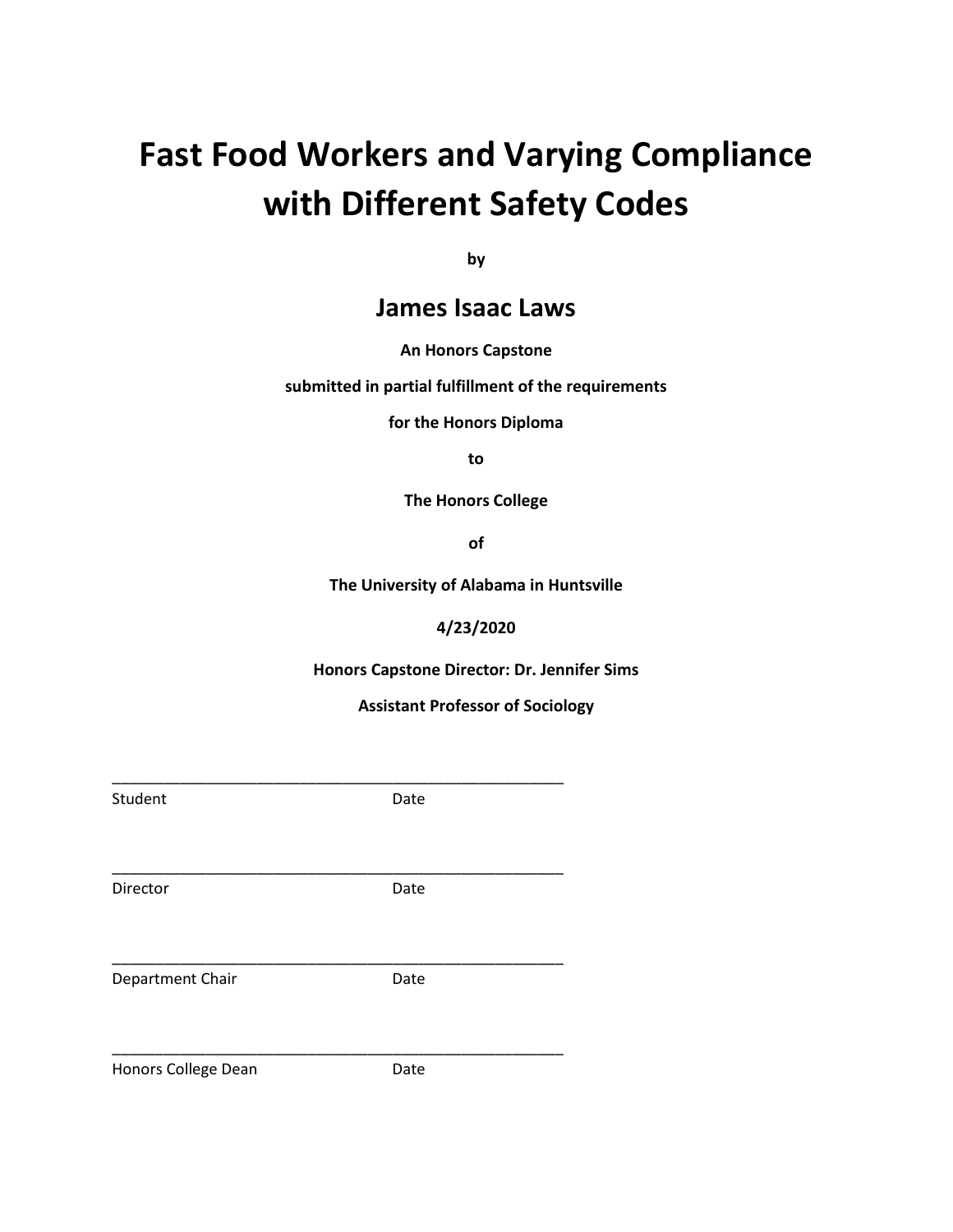# **Fast Food Workers and Varying Compliance with Different Safety Codes**

**by**

### **James Isaac Laws**

#### **An Honors Capstone**

**submitted in partial fulfillment of the requirements** 

**for the Honors Diploma**

**to** 

**The Honors College** 

**of** 

**The University of Alabama in Huntsville**

#### **4/23/2020**

**Honors Capstone Director: Dr. Jennifer Sims**

**Assistant Professor of Sociology**

| Student             | Date |  |
|---------------------|------|--|
|                     |      |  |
|                     |      |  |
| Director            | Date |  |
|                     |      |  |
|                     |      |  |
| Department Chair    | Date |  |
|                     |      |  |
|                     |      |  |
| Honors College Dean | Date |  |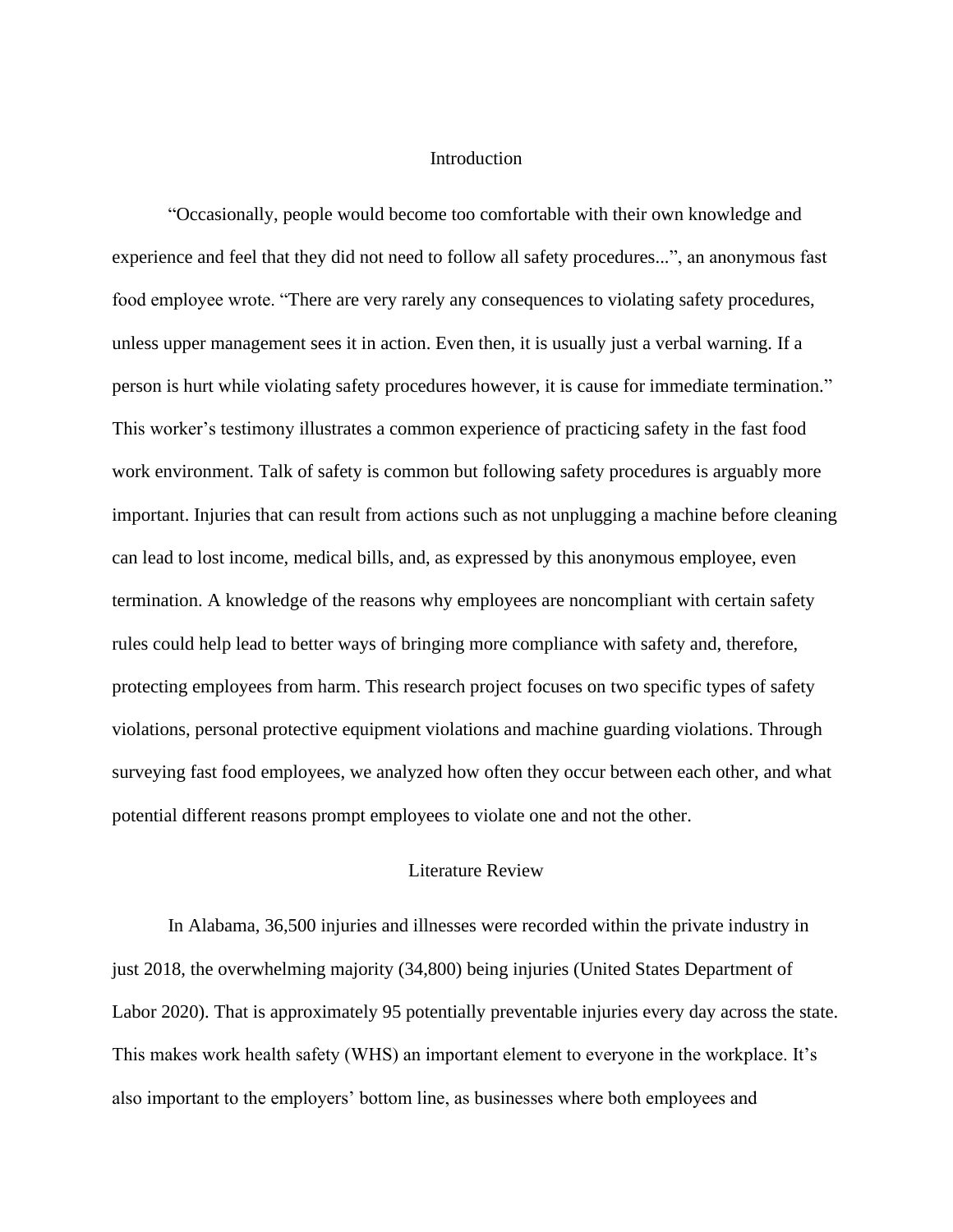#### **Introduction**

"Occasionally, people would become too comfortable with their own knowledge and experience and feel that they did not need to follow all safety procedures...", an anonymous fast food employee wrote. "There are very rarely any consequences to violating safety procedures, unless upper management sees it in action. Even then, it is usually just a verbal warning. If a person is hurt while violating safety procedures however, it is cause for immediate termination." This worker's testimony illustrates a common experience of practicing safety in the fast food work environment. Talk of safety is common but following safety procedures is arguably more important. Injuries that can result from actions such as not unplugging a machine before cleaning can lead to lost income, medical bills, and, as expressed by this anonymous employee, even termination. A knowledge of the reasons why employees are noncompliant with certain safety rules could help lead to better ways of bringing more compliance with safety and, therefore, protecting employees from harm. This research project focuses on two specific types of safety violations, personal protective equipment violations and machine guarding violations. Through surveying fast food employees, we analyzed how often they occur between each other, and what potential different reasons prompt employees to violate one and not the other.

#### Literature Review

In Alabama, 36,500 injuries and illnesses were recorded within the private industry in just 2018, the overwhelming majority (34,800) being injuries (United States Department of Labor 2020). That is approximately 95 potentially preventable injuries every day across the state. This makes work health safety (WHS) an important element to everyone in the workplace. It's also important to the employers' bottom line, as businesses where both employees and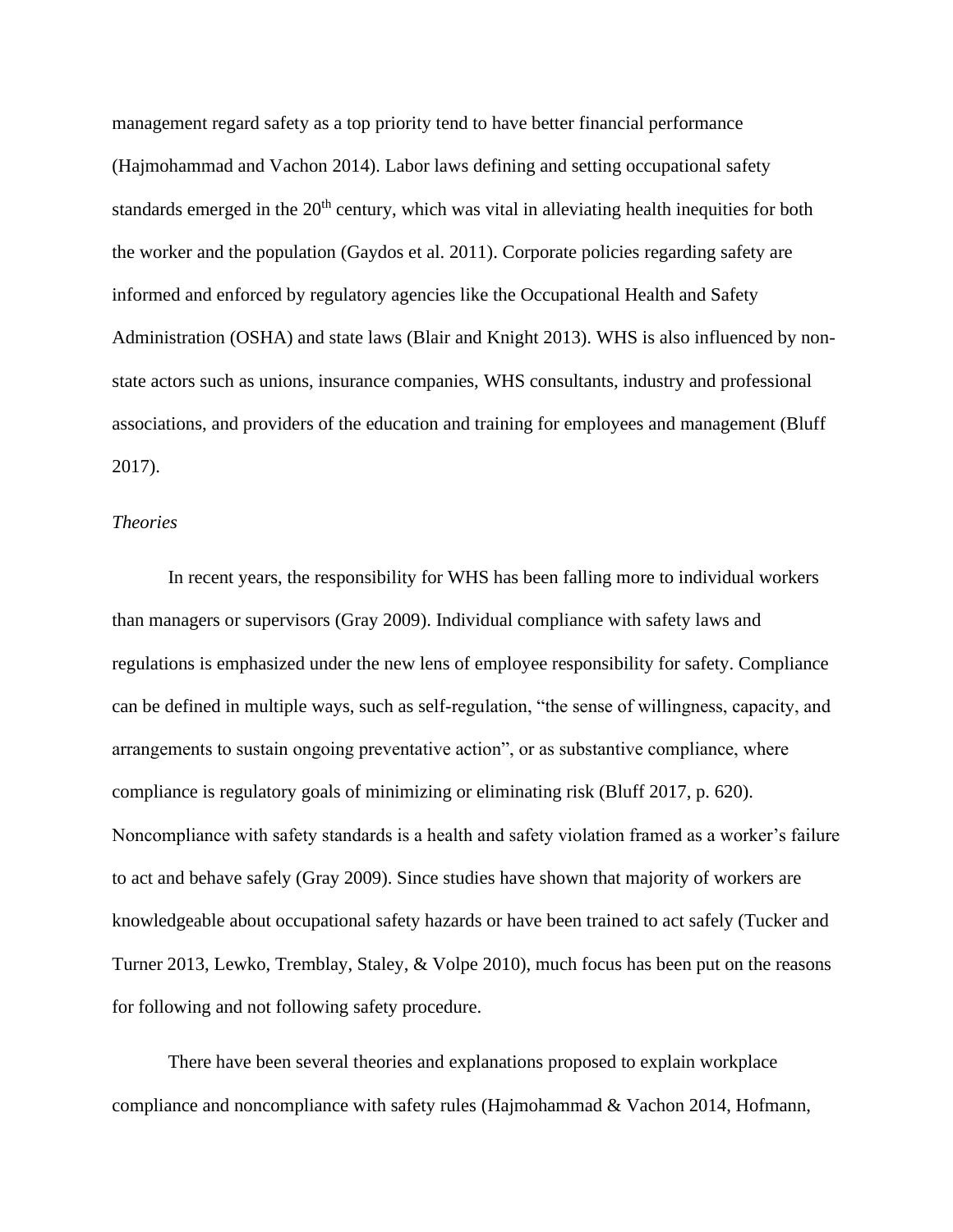management regard safety as a top priority tend to have better financial performance (Hajmohammad and Vachon 2014). Labor laws defining and setting occupational safety standards emerged in the  $20<sup>th</sup>$  century, which was vital in alleviating health inequities for both the worker and the population (Gaydos et al. 2011). Corporate policies regarding safety are informed and enforced by regulatory agencies like the Occupational Health and Safety Administration (OSHA) and state laws (Blair and Knight 2013). WHS is also influenced by nonstate actors such as unions, insurance companies, WHS consultants, industry and professional associations, and providers of the education and training for employees and management (Bluff 2017).

#### *Theories*

In recent years, the responsibility for WHS has been falling more to individual workers than managers or supervisors (Gray 2009). Individual compliance with safety laws and regulations is emphasized under the new lens of employee responsibility for safety. Compliance can be defined in multiple ways, such as self-regulation, "the sense of willingness, capacity, and arrangements to sustain ongoing preventative action", or as substantive compliance, where compliance is regulatory goals of minimizing or eliminating risk (Bluff 2017, p. 620). Noncompliance with safety standards is a health and safety violation framed as a worker's failure to act and behave safely (Gray 2009). Since studies have shown that majority of workers are knowledgeable about occupational safety hazards or have been trained to act safely (Tucker and Turner 2013, Lewko, Tremblay, Staley, & Volpe 2010), much focus has been put on the reasons for following and not following safety procedure.

There have been several theories and explanations proposed to explain workplace compliance and noncompliance with safety rules (Hajmohammad & Vachon 2014, Hofmann,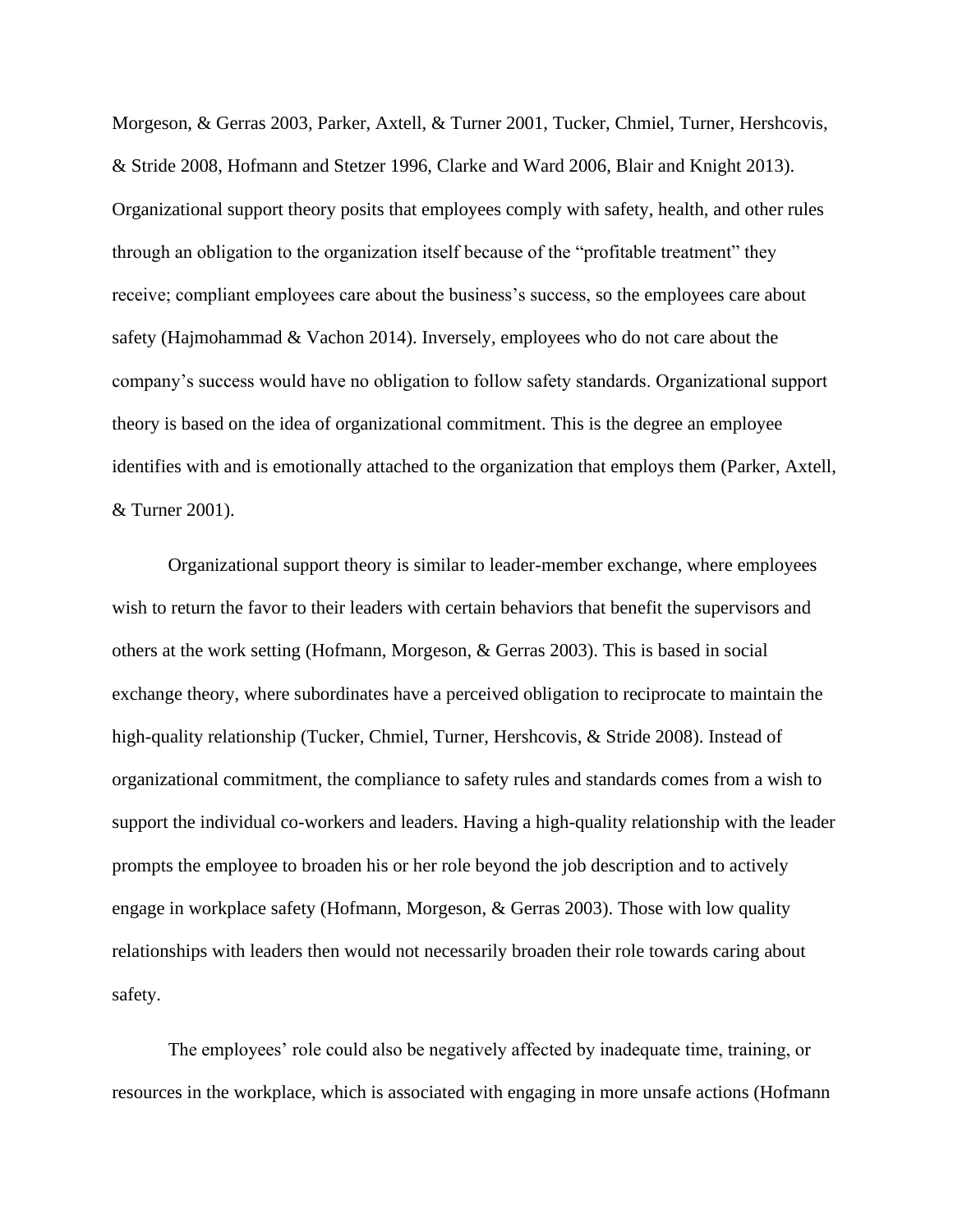Morgeson, & Gerras 2003, Parker, Axtell, & Turner 2001, Tucker, Chmiel, Turner, Hershcovis, & Stride 2008, Hofmann and Stetzer 1996, Clarke and Ward 2006, Blair and Knight 2013). Organizational support theory posits that employees comply with safety, health, and other rules through an obligation to the organization itself because of the "profitable treatment" they receive; compliant employees care about the business's success, so the employees care about safety (Hajmohammad & Vachon 2014). Inversely, employees who do not care about the company's success would have no obligation to follow safety standards. Organizational support theory is based on the idea of organizational commitment. This is the degree an employee identifies with and is emotionally attached to the organization that employs them (Parker, Axtell, & Turner 2001).

Organizational support theory is similar to leader-member exchange, where employees wish to return the favor to their leaders with certain behaviors that benefit the supervisors and others at the work setting (Hofmann, Morgeson, & Gerras 2003). This is based in social exchange theory, where subordinates have a perceived obligation to reciprocate to maintain the high-quality relationship (Tucker, Chmiel, Turner, Hershcovis, & Stride 2008). Instead of organizational commitment, the compliance to safety rules and standards comes from a wish to support the individual co-workers and leaders. Having a high-quality relationship with the leader prompts the employee to broaden his or her role beyond the job description and to actively engage in workplace safety (Hofmann, Morgeson, & Gerras 2003). Those with low quality relationships with leaders then would not necessarily broaden their role towards caring about safety.

The employees' role could also be negatively affected by inadequate time, training, or resources in the workplace, which is associated with engaging in more unsafe actions (Hofmann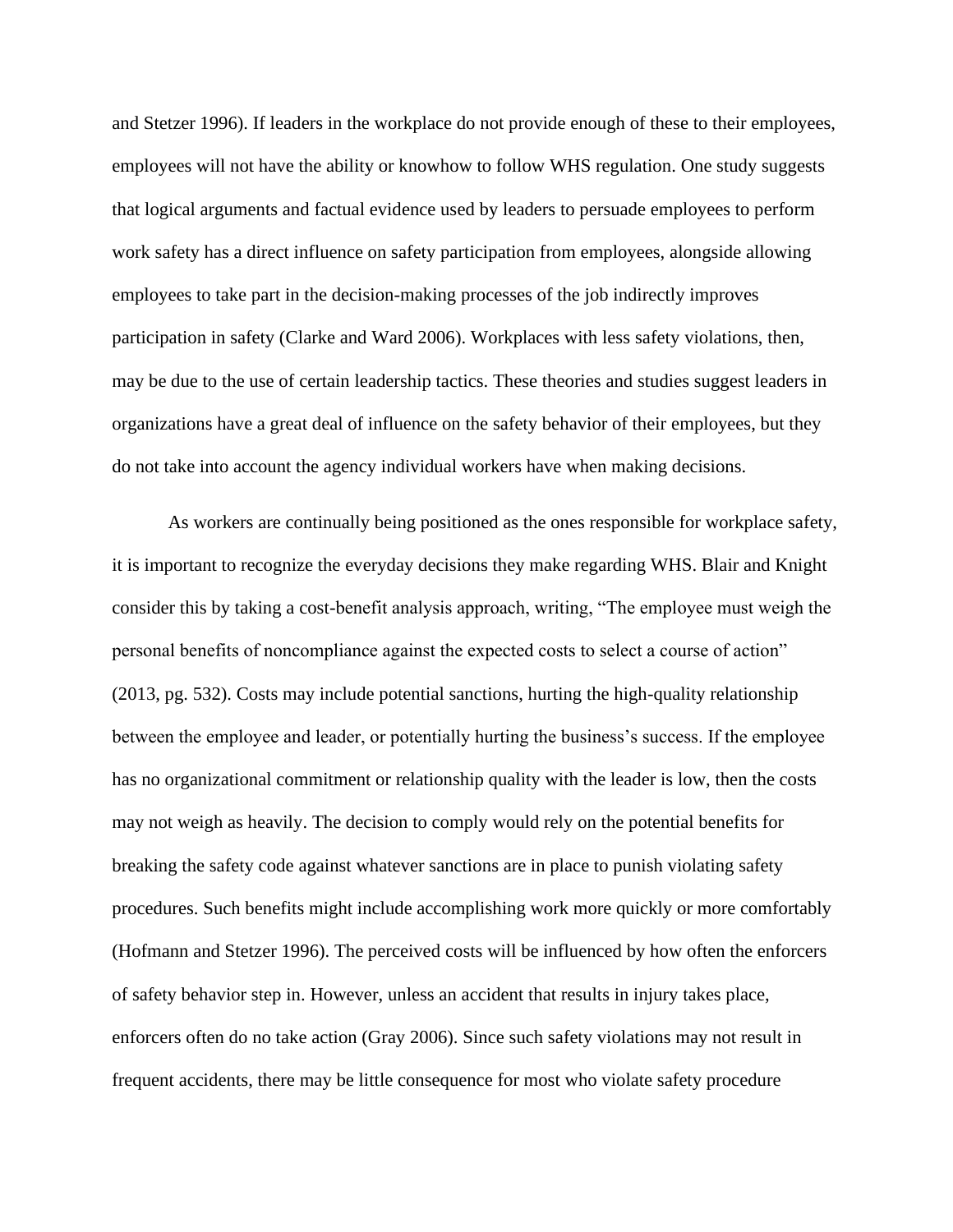and Stetzer 1996). If leaders in the workplace do not provide enough of these to their employees, employees will not have the ability or knowhow to follow WHS regulation. One study suggests that logical arguments and factual evidence used by leaders to persuade employees to perform work safety has a direct influence on safety participation from employees, alongside allowing employees to take part in the decision-making processes of the job indirectly improves participation in safety (Clarke and Ward 2006). Workplaces with less safety violations, then, may be due to the use of certain leadership tactics. These theories and studies suggest leaders in organizations have a great deal of influence on the safety behavior of their employees, but they do not take into account the agency individual workers have when making decisions.

As workers are continually being positioned as the ones responsible for workplace safety, it is important to recognize the everyday decisions they make regarding WHS. Blair and Knight consider this by taking a cost-benefit analysis approach, writing, "The employee must weigh the personal benefits of noncompliance against the expected costs to select a course of action" (2013, pg. 532). Costs may include potential sanctions, hurting the high-quality relationship between the employee and leader, or potentially hurting the business's success. If the employee has no organizational commitment or relationship quality with the leader is low, then the costs may not weigh as heavily. The decision to comply would rely on the potential benefits for breaking the safety code against whatever sanctions are in place to punish violating safety procedures. Such benefits might include accomplishing work more quickly or more comfortably (Hofmann and Stetzer 1996). The perceived costs will be influenced by how often the enforcers of safety behavior step in. However, unless an accident that results in injury takes place, enforcers often do no take action (Gray 2006). Since such safety violations may not result in frequent accidents, there may be little consequence for most who violate safety procedure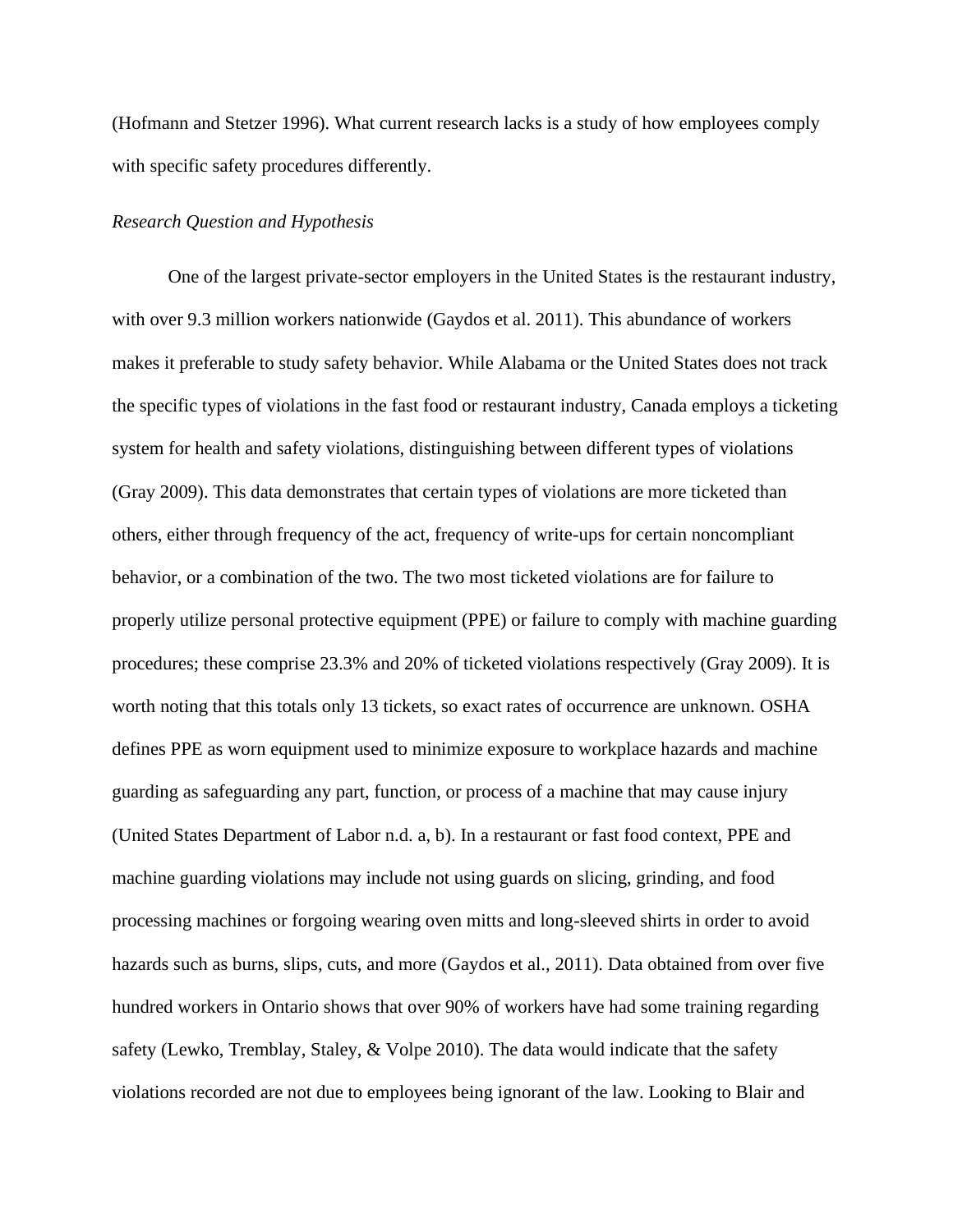(Hofmann and Stetzer 1996). What current research lacks is a study of how employees comply with specific safety procedures differently.

#### *Research Question and Hypothesis*

One of the largest private-sector employers in the United States is the restaurant industry, with over 9.3 million workers nationwide (Gaydos et al. 2011). This abundance of workers makes it preferable to study safety behavior. While Alabama or the United States does not track the specific types of violations in the fast food or restaurant industry, Canada employs a ticketing system for health and safety violations, distinguishing between different types of violations (Gray 2009). This data demonstrates that certain types of violations are more ticketed than others, either through frequency of the act, frequency of write-ups for certain noncompliant behavior, or a combination of the two. The two most ticketed violations are for failure to properly utilize personal protective equipment (PPE) or failure to comply with machine guarding procedures; these comprise 23.3% and 20% of ticketed violations respectively (Gray 2009). It is worth noting that this totals only 13 tickets, so exact rates of occurrence are unknown. OSHA defines PPE as worn equipment used to minimize exposure to workplace hazards and machine guarding as safeguarding any part, function, or process of a machine that may cause injury (United States Department of Labor n.d. a, b). In a restaurant or fast food context, PPE and machine guarding violations may include not using guards on slicing, grinding, and food processing machines or forgoing wearing oven mitts and long-sleeved shirts in order to avoid hazards such as burns, slips, cuts, and more (Gaydos et al., 2011). Data obtained from over five hundred workers in Ontario shows that over 90% of workers have had some training regarding safety (Lewko, Tremblay, Staley, & Volpe 2010). The data would indicate that the safety violations recorded are not due to employees being ignorant of the law. Looking to Blair and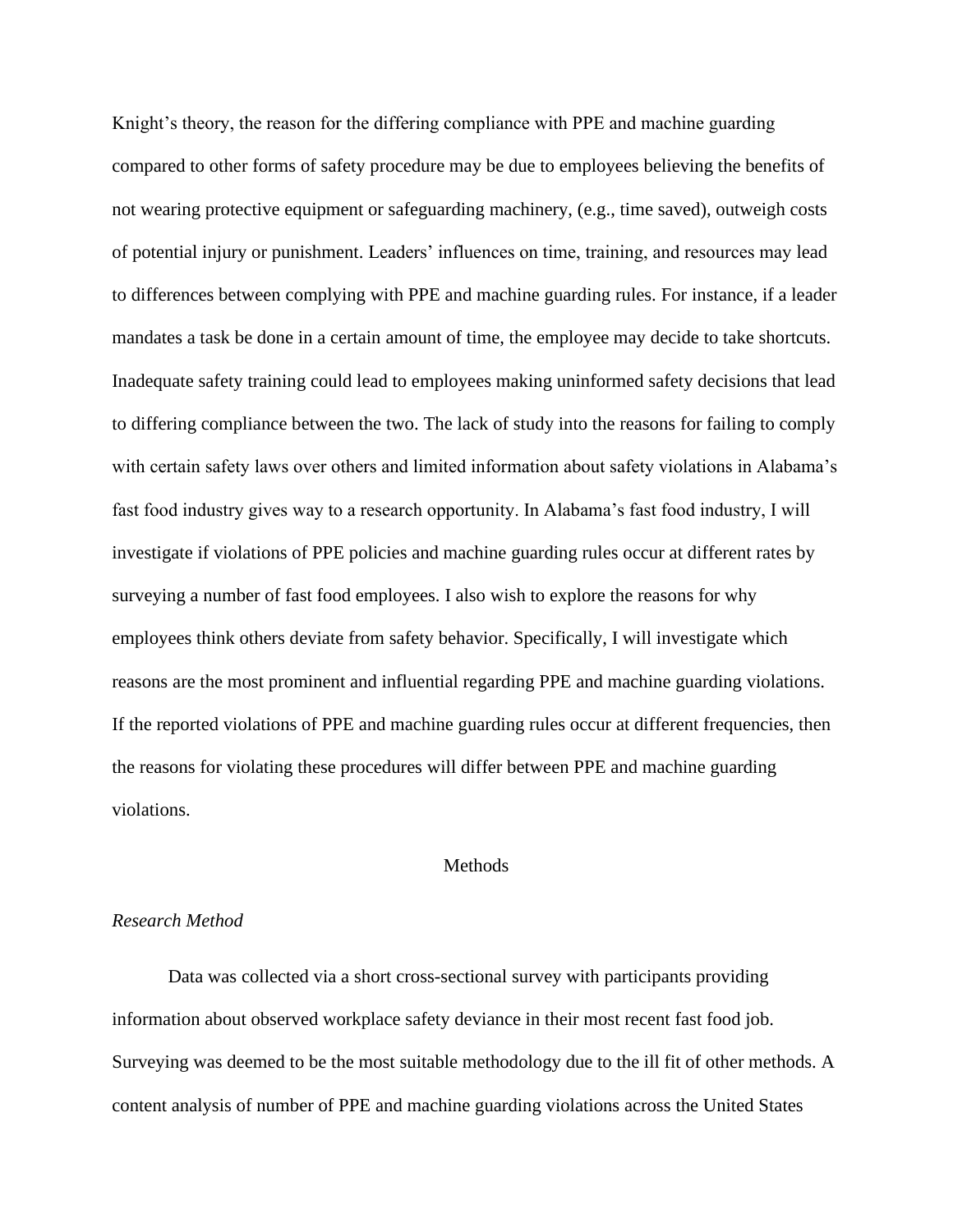Knight's theory, the reason for the differing compliance with PPE and machine guarding compared to other forms of safety procedure may be due to employees believing the benefits of not wearing protective equipment or safeguarding machinery, (e.g., time saved), outweigh costs of potential injury or punishment. Leaders' influences on time, training, and resources may lead to differences between complying with PPE and machine guarding rules. For instance, if a leader mandates a task be done in a certain amount of time, the employee may decide to take shortcuts. Inadequate safety training could lead to employees making uninformed safety decisions that lead to differing compliance between the two. The lack of study into the reasons for failing to comply with certain safety laws over others and limited information about safety violations in Alabama's fast food industry gives way to a research opportunity. In Alabama's fast food industry, I will investigate if violations of PPE policies and machine guarding rules occur at different rates by surveying a number of fast food employees. I also wish to explore the reasons for why employees think others deviate from safety behavior. Specifically, I will investigate which reasons are the most prominent and influential regarding PPE and machine guarding violations. If the reported violations of PPE and machine guarding rules occur at different frequencies, then the reasons for violating these procedures will differ between PPE and machine guarding violations.

#### Methods

#### *Research Method*

Data was collected via a short cross-sectional survey with participants providing information about observed workplace safety deviance in their most recent fast food job. Surveying was deemed to be the most suitable methodology due to the ill fit of other methods. A content analysis of number of PPE and machine guarding violations across the United States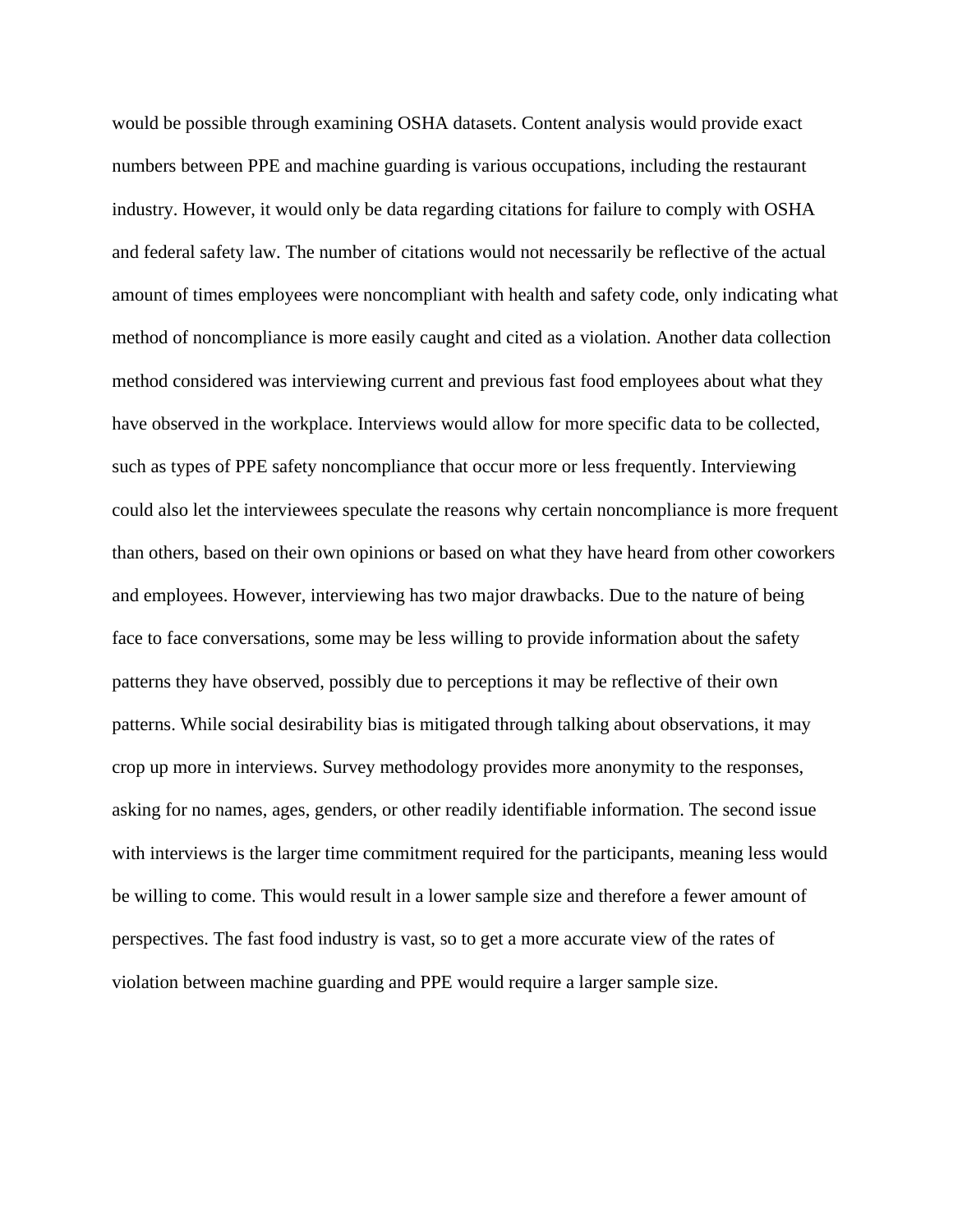would be possible through examining OSHA datasets. Content analysis would provide exact numbers between PPE and machine guarding is various occupations, including the restaurant industry. However, it would only be data regarding citations for failure to comply with OSHA and federal safety law. The number of citations would not necessarily be reflective of the actual amount of times employees were noncompliant with health and safety code, only indicating what method of noncompliance is more easily caught and cited as a violation. Another data collection method considered was interviewing current and previous fast food employees about what they have observed in the workplace. Interviews would allow for more specific data to be collected, such as types of PPE safety noncompliance that occur more or less frequently. Interviewing could also let the interviewees speculate the reasons why certain noncompliance is more frequent than others, based on their own opinions or based on what they have heard from other coworkers and employees. However, interviewing has two major drawbacks. Due to the nature of being face to face conversations, some may be less willing to provide information about the safety patterns they have observed, possibly due to perceptions it may be reflective of their own patterns. While social desirability bias is mitigated through talking about observations, it may crop up more in interviews. Survey methodology provides more anonymity to the responses, asking for no names, ages, genders, or other readily identifiable information. The second issue with interviews is the larger time commitment required for the participants, meaning less would be willing to come. This would result in a lower sample size and therefore a fewer amount of perspectives. The fast food industry is vast, so to get a more accurate view of the rates of violation between machine guarding and PPE would require a larger sample size.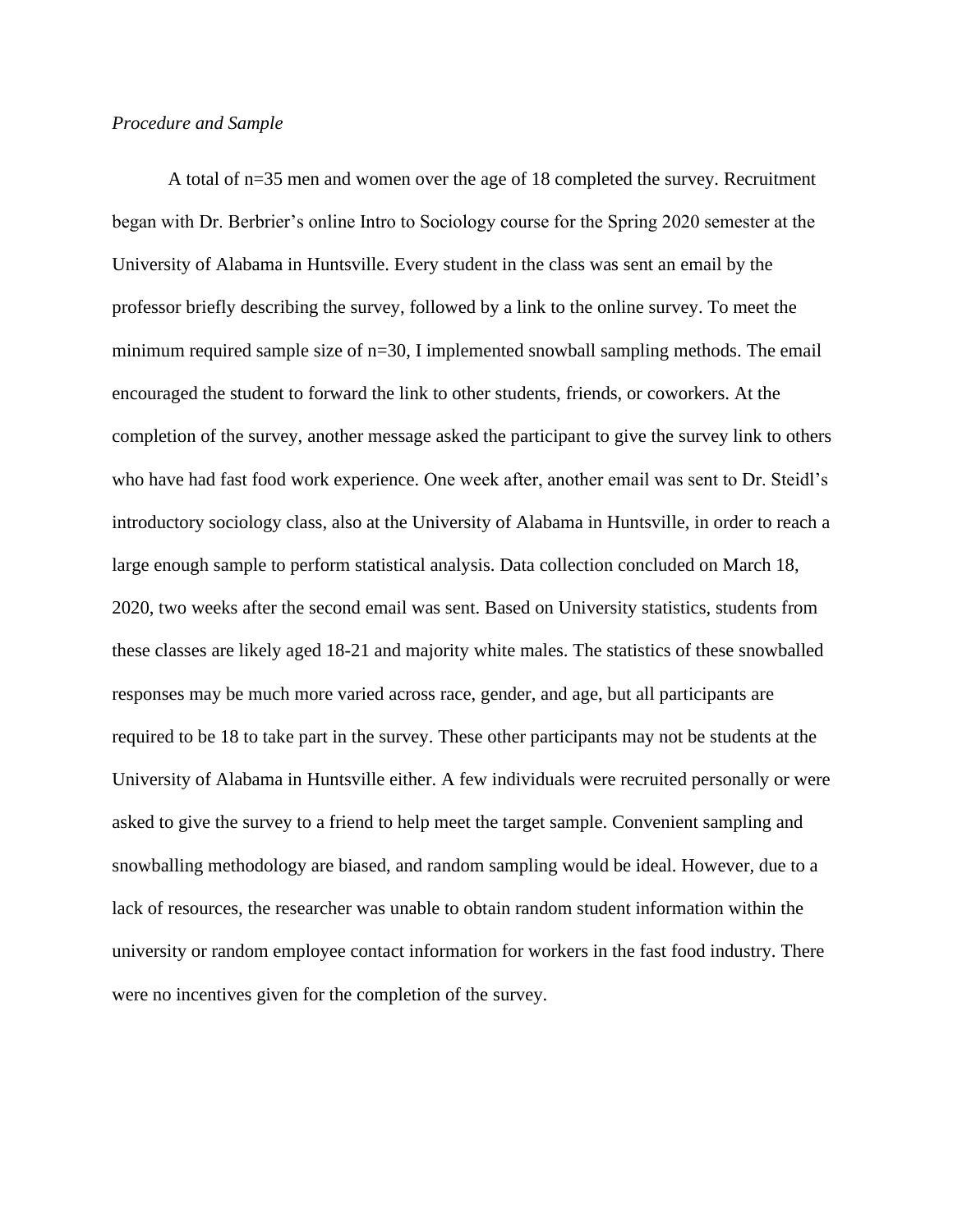#### *Procedure and Sample*

A total of n=35 men and women over the age of 18 completed the survey. Recruitment began with Dr. Berbrier's online Intro to Sociology course for the Spring 2020 semester at the University of Alabama in Huntsville. Every student in the class was sent an email by the professor briefly describing the survey, followed by a link to the online survey. To meet the minimum required sample size of n=30, I implemented snowball sampling methods. The email encouraged the student to forward the link to other students, friends, or coworkers. At the completion of the survey, another message asked the participant to give the survey link to others who have had fast food work experience. One week after, another email was sent to Dr. Steidl's introductory sociology class, also at the University of Alabama in Huntsville, in order to reach a large enough sample to perform statistical analysis. Data collection concluded on March 18, 2020, two weeks after the second email was sent. Based on University statistics, students from these classes are likely aged 18-21 and majority white males. The statistics of these snowballed responses may be much more varied across race, gender, and age, but all participants are required to be 18 to take part in the survey. These other participants may not be students at the University of Alabama in Huntsville either. A few individuals were recruited personally or were asked to give the survey to a friend to help meet the target sample. Convenient sampling and snowballing methodology are biased, and random sampling would be ideal. However, due to a lack of resources, the researcher was unable to obtain random student information within the university or random employee contact information for workers in the fast food industry. There were no incentives given for the completion of the survey.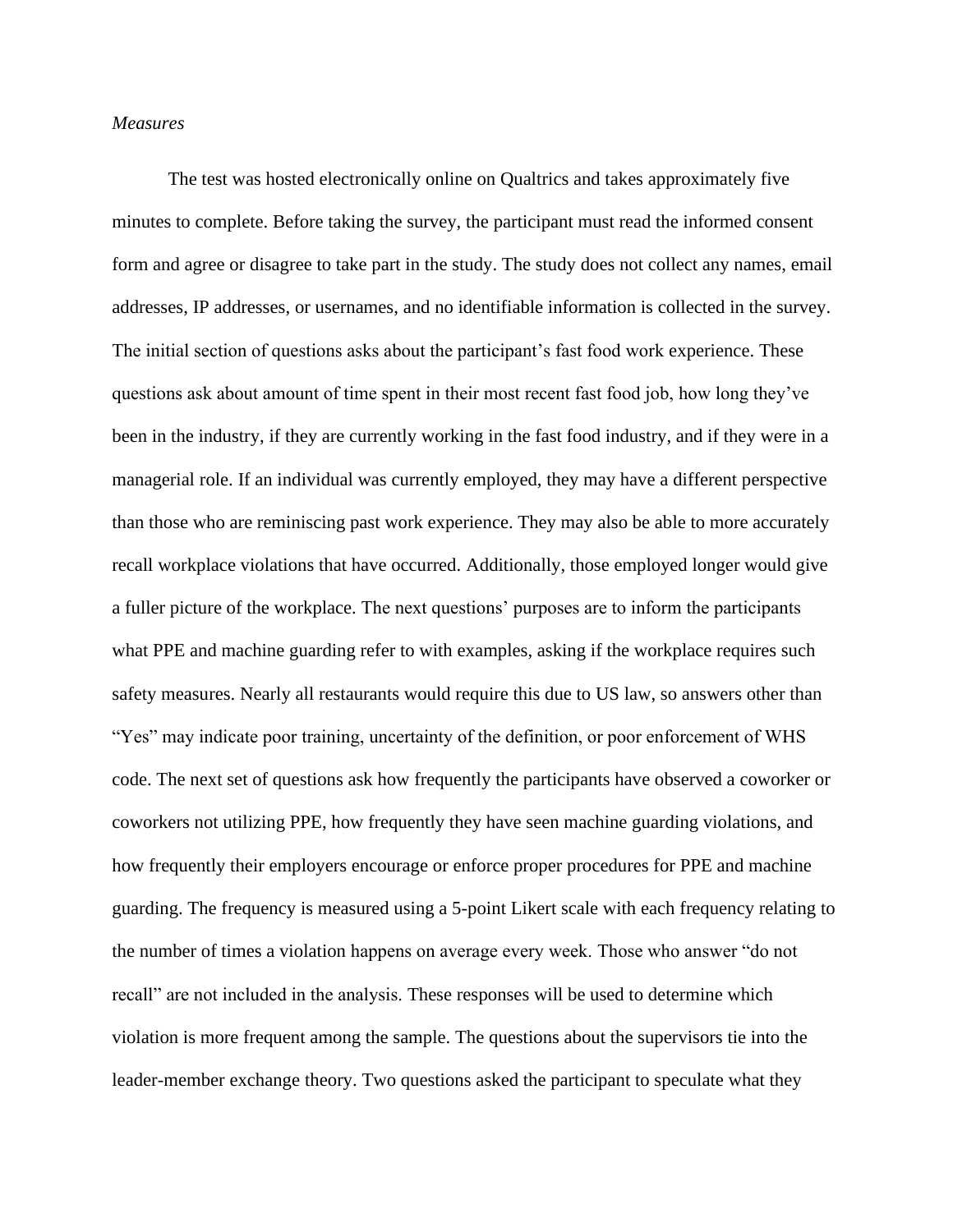#### *Measures*

The test was hosted electronically online on Qualtrics and takes approximately five minutes to complete. Before taking the survey, the participant must read the informed consent form and agree or disagree to take part in the study. The study does not collect any names, email addresses, IP addresses, or usernames, and no identifiable information is collected in the survey. The initial section of questions asks about the participant's fast food work experience. These questions ask about amount of time spent in their most recent fast food job, how long they've been in the industry, if they are currently working in the fast food industry, and if they were in a managerial role. If an individual was currently employed, they may have a different perspective than those who are reminiscing past work experience. They may also be able to more accurately recall workplace violations that have occurred. Additionally, those employed longer would give a fuller picture of the workplace. The next questions' purposes are to inform the participants what PPE and machine guarding refer to with examples, asking if the workplace requires such safety measures. Nearly all restaurants would require this due to US law, so answers other than "Yes" may indicate poor training, uncertainty of the definition, or poor enforcement of WHS code. The next set of questions ask how frequently the participants have observed a coworker or coworkers not utilizing PPE, how frequently they have seen machine guarding violations, and how frequently their employers encourage or enforce proper procedures for PPE and machine guarding. The frequency is measured using a 5-point Likert scale with each frequency relating to the number of times a violation happens on average every week. Those who answer "do not recall" are not included in the analysis. These responses will be used to determine which violation is more frequent among the sample. The questions about the supervisors tie into the leader-member exchange theory. Two questions asked the participant to speculate what they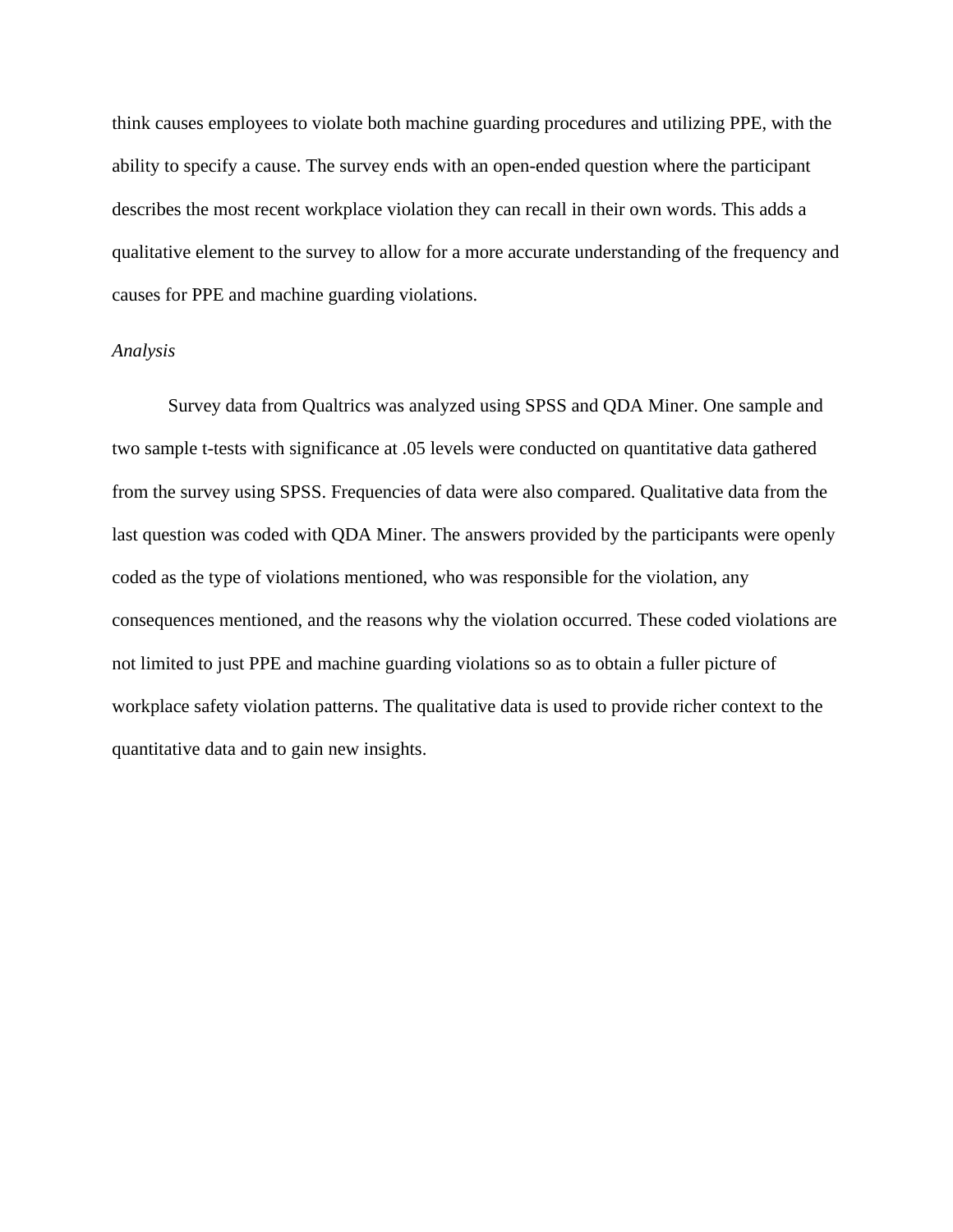think causes employees to violate both machine guarding procedures and utilizing PPE, with the ability to specify a cause. The survey ends with an open-ended question where the participant describes the most recent workplace violation they can recall in their own words. This adds a qualitative element to the survey to allow for a more accurate understanding of the frequency and causes for PPE and machine guarding violations.

#### *Analysis*

Survey data from Qualtrics was analyzed using SPSS and QDA Miner. One sample and two sample t-tests with significance at .05 levels were conducted on quantitative data gathered from the survey using SPSS. Frequencies of data were also compared. Qualitative data from the last question was coded with QDA Miner. The answers provided by the participants were openly coded as the type of violations mentioned, who was responsible for the violation, any consequences mentioned, and the reasons why the violation occurred. These coded violations are not limited to just PPE and machine guarding violations so as to obtain a fuller picture of workplace safety violation patterns. The qualitative data is used to provide richer context to the quantitative data and to gain new insights.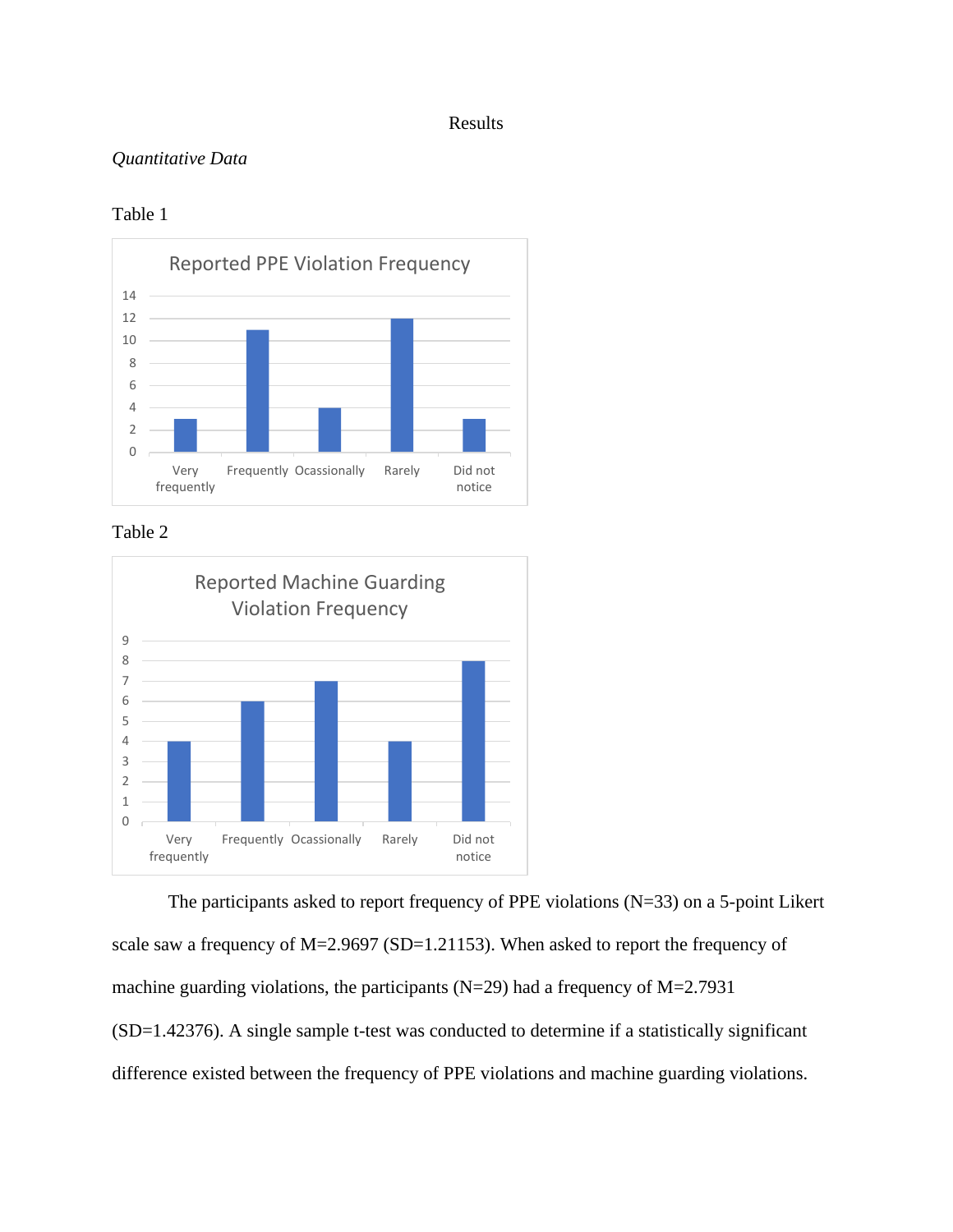#### Results

#### *Quantitative Data*

#### Table 1



Table 2



The participants asked to report frequency of PPE violations (N=33) on a 5-point Likert scale saw a frequency of M=2.9697 (SD=1.21153). When asked to report the frequency of machine guarding violations, the participants ( $N=29$ ) had a frequency of  $M=2.7931$ (SD=1.42376). A single sample t-test was conducted to determine if a statistically significant difference existed between the frequency of PPE violations and machine guarding violations.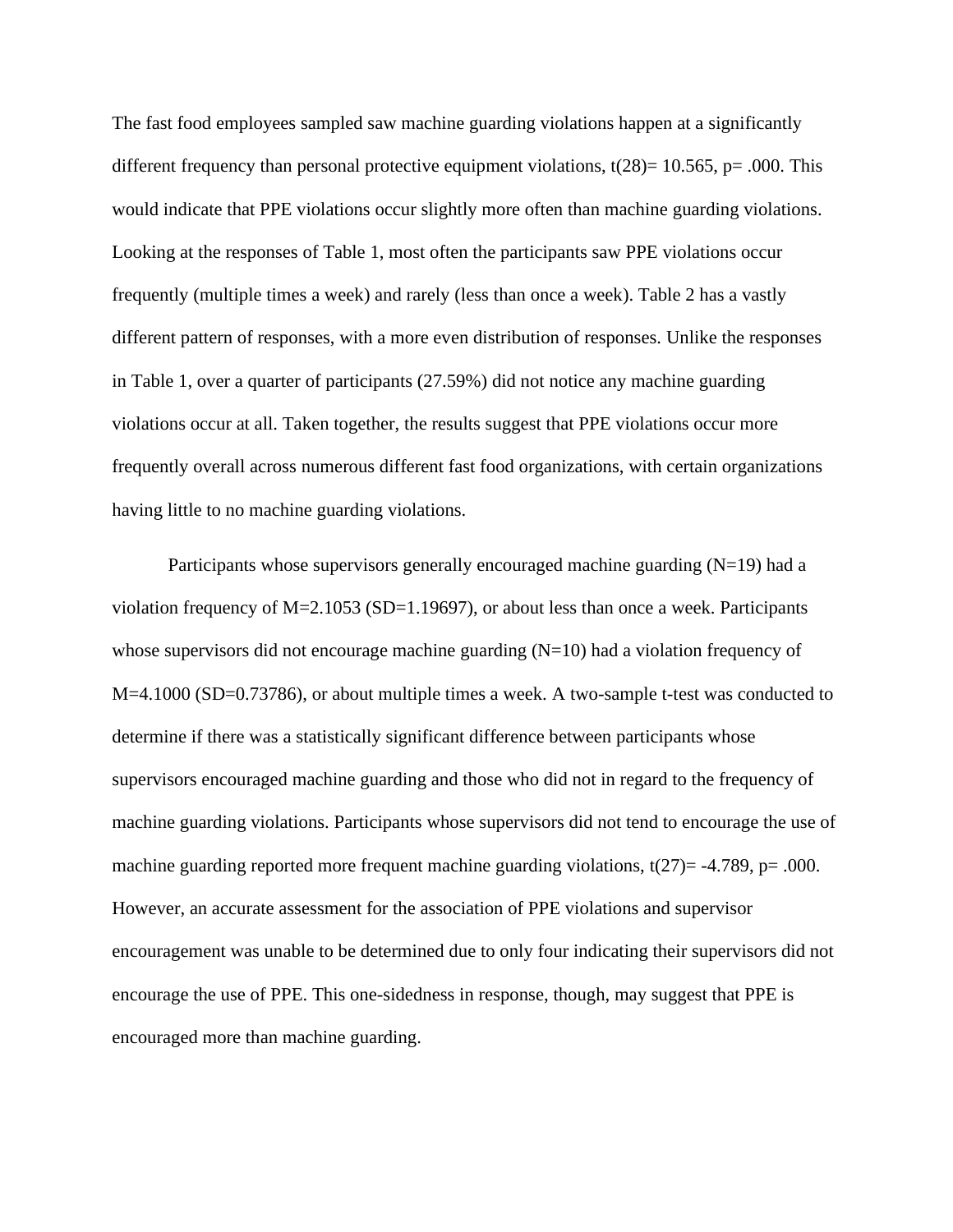The fast food employees sampled saw machine guarding violations happen at a significantly different frequency than personal protective equipment violations,  $t(28)=10.565$ , p= .000. This would indicate that PPE violations occur slightly more often than machine guarding violations. Looking at the responses of Table 1, most often the participants saw PPE violations occur frequently (multiple times a week) and rarely (less than once a week). Table 2 has a vastly different pattern of responses, with a more even distribution of responses. Unlike the responses in Table 1, over a quarter of participants (27.59%) did not notice any machine guarding violations occur at all. Taken together, the results suggest that PPE violations occur more frequently overall across numerous different fast food organizations, with certain organizations having little to no machine guarding violations.

Participants whose supervisors generally encouraged machine guarding  $(N=19)$  had a violation frequency of  $M=2.1053$  (SD=1.19697), or about less than once a week. Participants whose supervisors did not encourage machine guarding (N=10) had a violation frequency of M=4.1000 (SD=0.73786), or about multiple times a week. A two-sample t-test was conducted to determine if there was a statistically significant difference between participants whose supervisors encouraged machine guarding and those who did not in regard to the frequency of machine guarding violations. Participants whose supervisors did not tend to encourage the use of machine guarding reported more frequent machine guarding violations,  $t(27) = -4.789$ , p= .000. However, an accurate assessment for the association of PPE violations and supervisor encouragement was unable to be determined due to only four indicating their supervisors did not encourage the use of PPE. This one-sidedness in response, though, may suggest that PPE is encouraged more than machine guarding.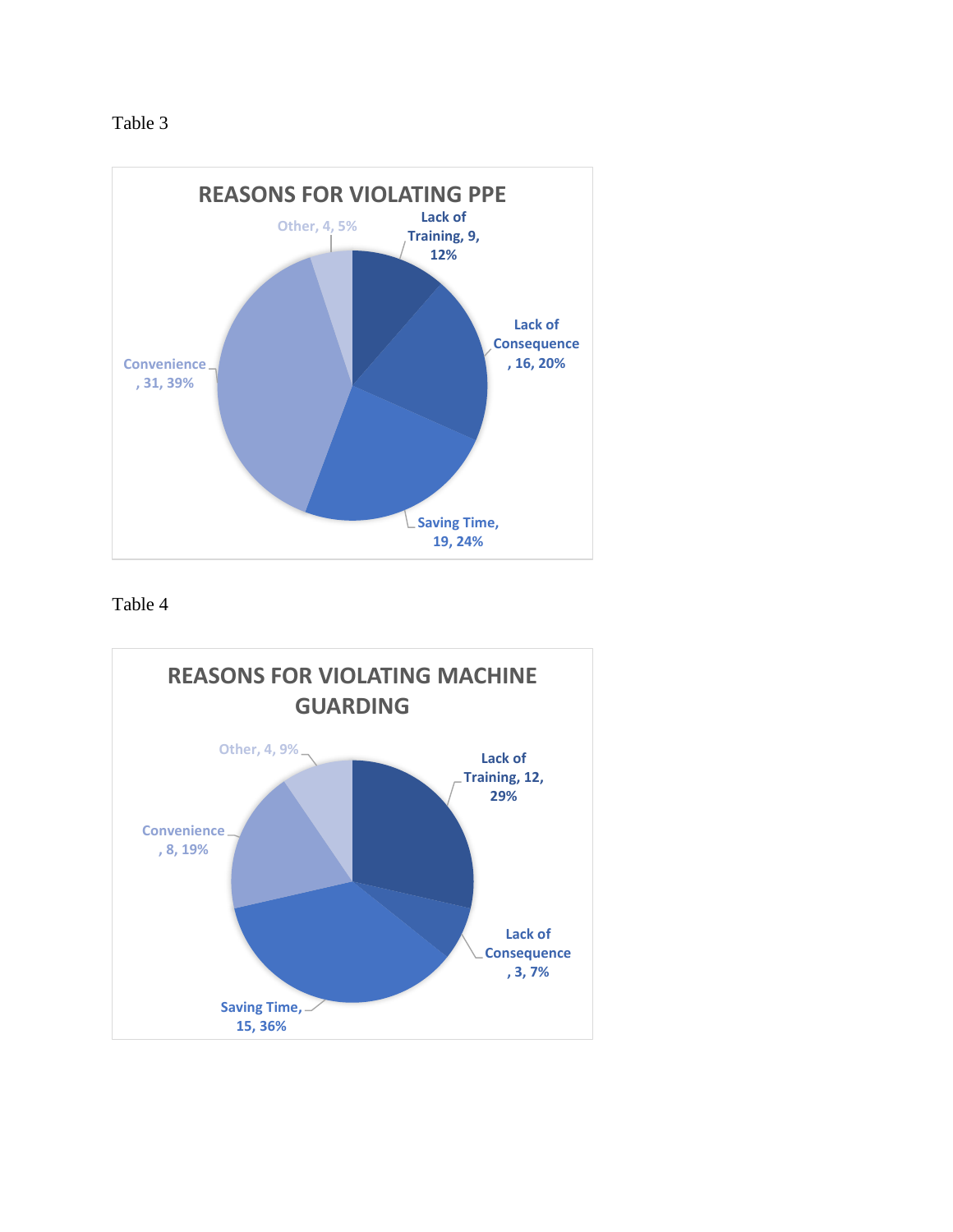



Table 4

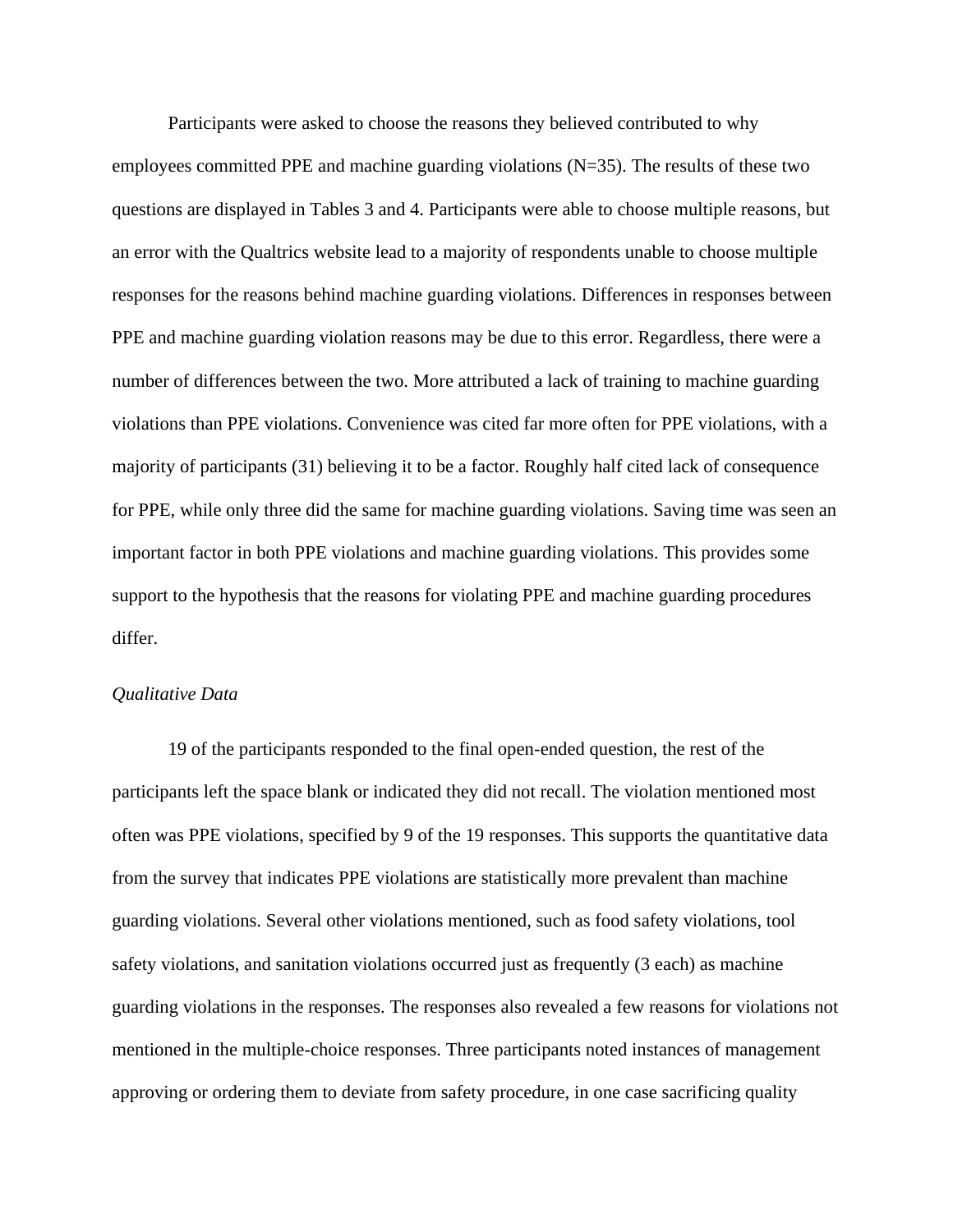Participants were asked to choose the reasons they believed contributed to why employees committed PPE and machine guarding violations  $(N=35)$ . The results of these two questions are displayed in Tables 3 and 4. Participants were able to choose multiple reasons, but an error with the Qualtrics website lead to a majority of respondents unable to choose multiple responses for the reasons behind machine guarding violations. Differences in responses between PPE and machine guarding violation reasons may be due to this error. Regardless, there were a number of differences between the two. More attributed a lack of training to machine guarding violations than PPE violations. Convenience was cited far more often for PPE violations, with a majority of participants (31) believing it to be a factor. Roughly half cited lack of consequence for PPE, while only three did the same for machine guarding violations. Saving time was seen an important factor in both PPE violations and machine guarding violations. This provides some support to the hypothesis that the reasons for violating PPE and machine guarding procedures differ.

#### *Qualitative Data*

19 of the participants responded to the final open-ended question, the rest of the participants left the space blank or indicated they did not recall. The violation mentioned most often was PPE violations, specified by 9 of the 19 responses. This supports the quantitative data from the survey that indicates PPE violations are statistically more prevalent than machine guarding violations. Several other violations mentioned, such as food safety violations, tool safety violations, and sanitation violations occurred just as frequently (3 each) as machine guarding violations in the responses. The responses also revealed a few reasons for violations not mentioned in the multiple-choice responses. Three participants noted instances of management approving or ordering them to deviate from safety procedure, in one case sacrificing quality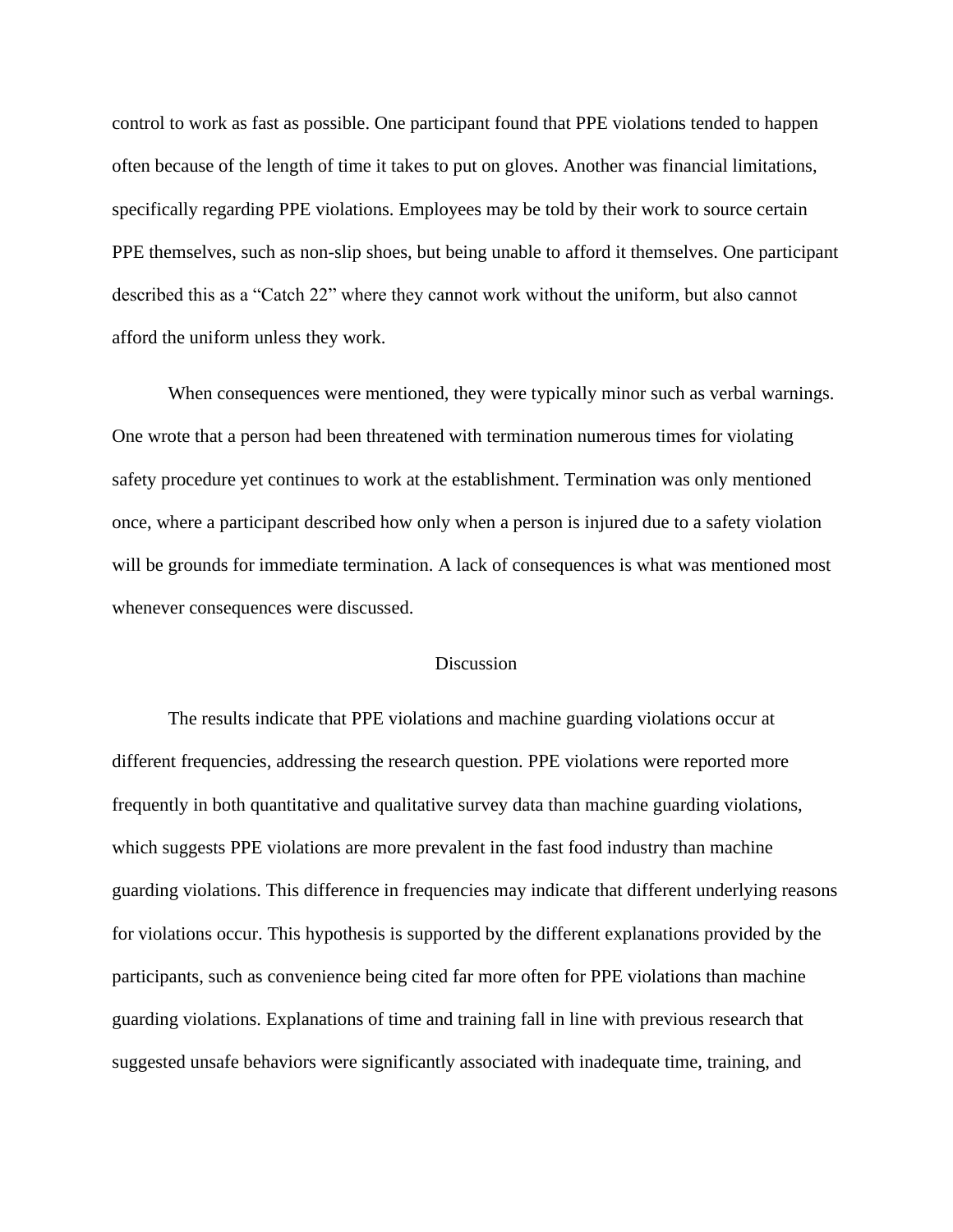control to work as fast as possible. One participant found that PPE violations tended to happen often because of the length of time it takes to put on gloves. Another was financial limitations, specifically regarding PPE violations. Employees may be told by their work to source certain PPE themselves, such as non-slip shoes, but being unable to afford it themselves. One participant described this as a "Catch 22" where they cannot work without the uniform, but also cannot afford the uniform unless they work.

When consequences were mentioned, they were typically minor such as verbal warnings. One wrote that a person had been threatened with termination numerous times for violating safety procedure yet continues to work at the establishment. Termination was only mentioned once, where a participant described how only when a person is injured due to a safety violation will be grounds for immediate termination. A lack of consequences is what was mentioned most whenever consequences were discussed.

#### **Discussion**

The results indicate that PPE violations and machine guarding violations occur at different frequencies, addressing the research question. PPE violations were reported more frequently in both quantitative and qualitative survey data than machine guarding violations, which suggests PPE violations are more prevalent in the fast food industry than machine guarding violations. This difference in frequencies may indicate that different underlying reasons for violations occur. This hypothesis is supported by the different explanations provided by the participants, such as convenience being cited far more often for PPE violations than machine guarding violations. Explanations of time and training fall in line with previous research that suggested unsafe behaviors were significantly associated with inadequate time, training, and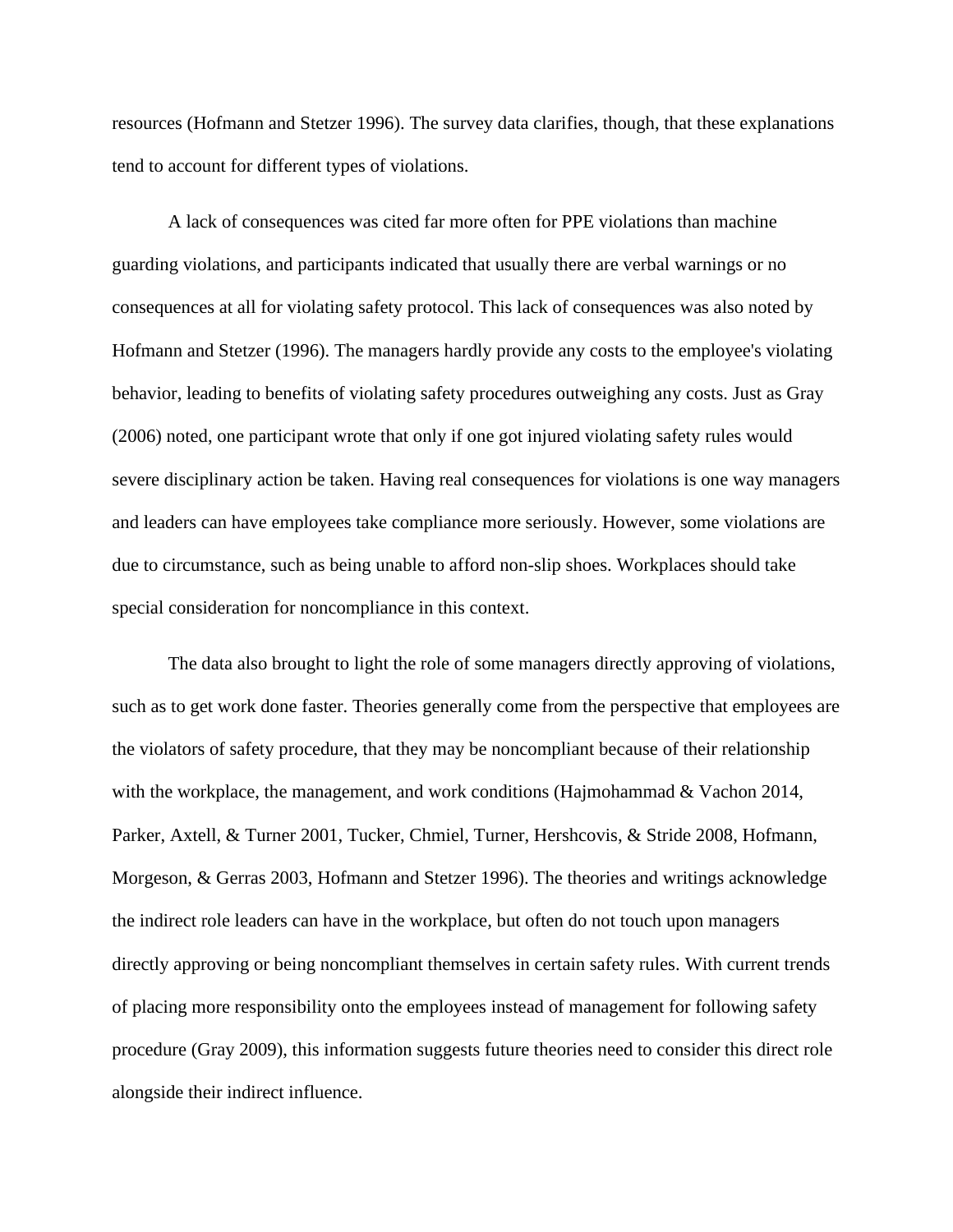resources (Hofmann and Stetzer 1996). The survey data clarifies, though, that these explanations tend to account for different types of violations.

A lack of consequences was cited far more often for PPE violations than machine guarding violations, and participants indicated that usually there are verbal warnings or no consequences at all for violating safety protocol. This lack of consequences was also noted by Hofmann and Stetzer (1996). The managers hardly provide any costs to the employee's violating behavior, leading to benefits of violating safety procedures outweighing any costs. Just as Gray (2006) noted, one participant wrote that only if one got injured violating safety rules would severe disciplinary action be taken. Having real consequences for violations is one way managers and leaders can have employees take compliance more seriously. However, some violations are due to circumstance, such as being unable to afford non-slip shoes. Workplaces should take special consideration for noncompliance in this context.

The data also brought to light the role of some managers directly approving of violations, such as to get work done faster. Theories generally come from the perspective that employees are the violators of safety procedure, that they may be noncompliant because of their relationship with the workplace, the management, and work conditions (Hajmohammad & Vachon 2014, Parker, Axtell, & Turner 2001, Tucker, Chmiel, Turner, Hershcovis, & Stride 2008, Hofmann, Morgeson, & Gerras 2003, Hofmann and Stetzer 1996). The theories and writings acknowledge the indirect role leaders can have in the workplace, but often do not touch upon managers directly approving or being noncompliant themselves in certain safety rules. With current trends of placing more responsibility onto the employees instead of management for following safety procedure (Gray 2009), this information suggests future theories need to consider this direct role alongside their indirect influence.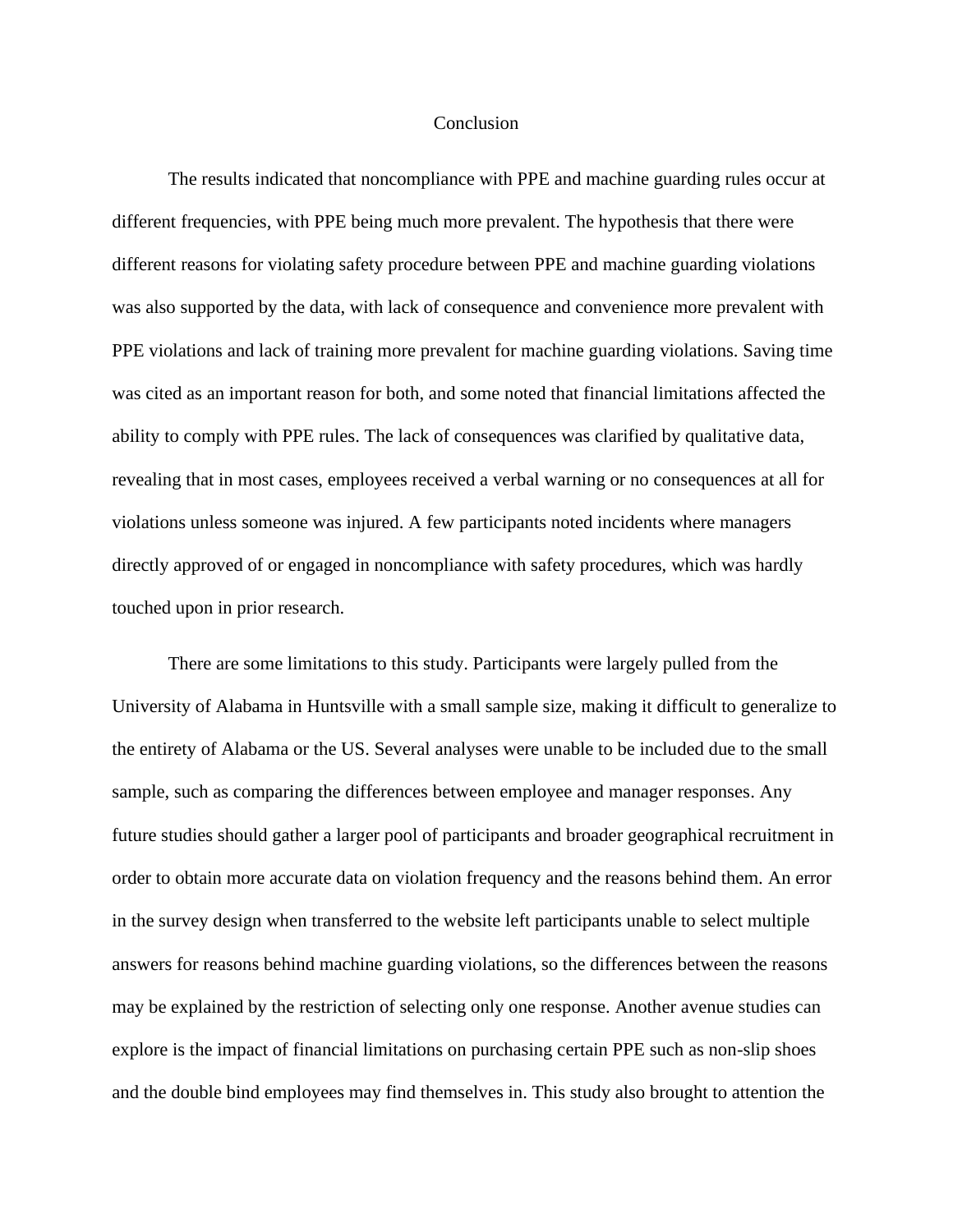#### Conclusion

The results indicated that noncompliance with PPE and machine guarding rules occur at different frequencies, with PPE being much more prevalent. The hypothesis that there were different reasons for violating safety procedure between PPE and machine guarding violations was also supported by the data, with lack of consequence and convenience more prevalent with PPE violations and lack of training more prevalent for machine guarding violations. Saving time was cited as an important reason for both, and some noted that financial limitations affected the ability to comply with PPE rules. The lack of consequences was clarified by qualitative data, revealing that in most cases, employees received a verbal warning or no consequences at all for violations unless someone was injured. A few participants noted incidents where managers directly approved of or engaged in noncompliance with safety procedures, which was hardly touched upon in prior research.

There are some limitations to this study. Participants were largely pulled from the University of Alabama in Huntsville with a small sample size, making it difficult to generalize to the entirety of Alabama or the US. Several analyses were unable to be included due to the small sample, such as comparing the differences between employee and manager responses. Any future studies should gather a larger pool of participants and broader geographical recruitment in order to obtain more accurate data on violation frequency and the reasons behind them. An error in the survey design when transferred to the website left participants unable to select multiple answers for reasons behind machine guarding violations, so the differences between the reasons may be explained by the restriction of selecting only one response. Another avenue studies can explore is the impact of financial limitations on purchasing certain PPE such as non-slip shoes and the double bind employees may find themselves in. This study also brought to attention the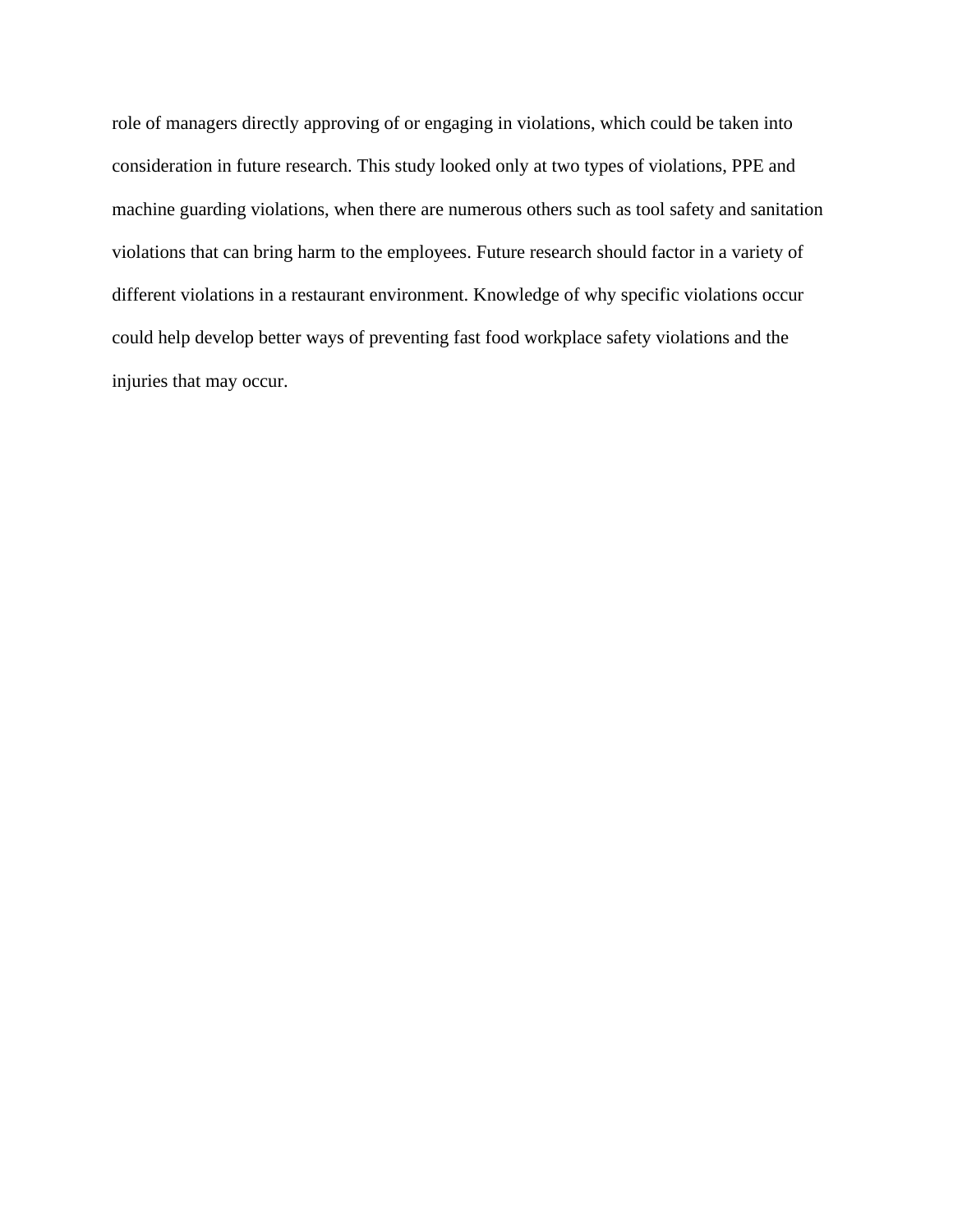role of managers directly approving of or engaging in violations, which could be taken into consideration in future research. This study looked only at two types of violations, PPE and machine guarding violations, when there are numerous others such as tool safety and sanitation violations that can bring harm to the employees. Future research should factor in a variety of different violations in a restaurant environment. Knowledge of why specific violations occur could help develop better ways of preventing fast food workplace safety violations and the injuries that may occur.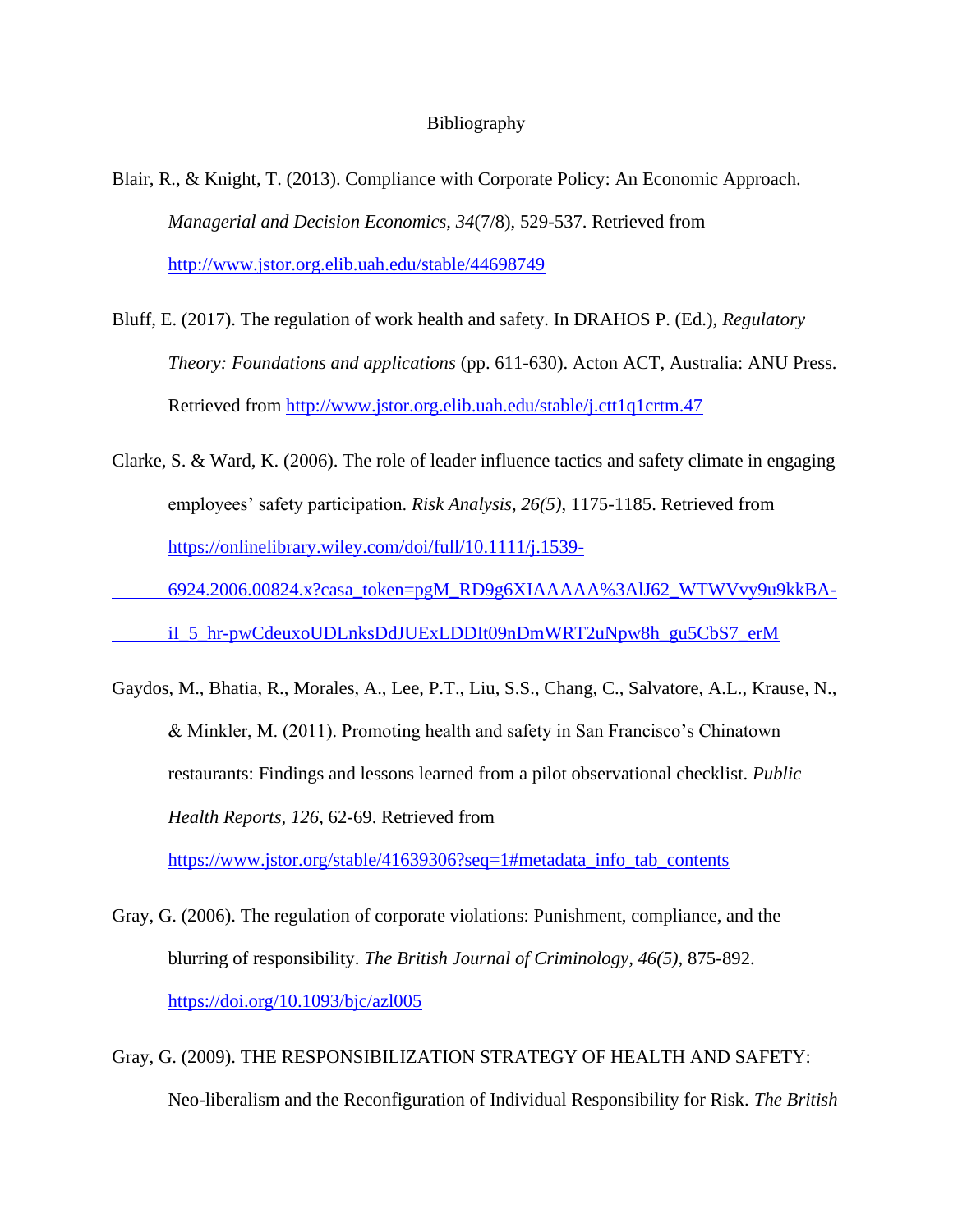#### Bibliography

- Blair, R., & Knight, T. (2013). Compliance with Corporate Policy: An Economic Approach. *Managerial and Decision Economics, 34*(7/8), 529-537. Retrieved from <http://www.jstor.org.elib.uah.edu/stable/44698749>
- Bluff, E. (2017). The regulation of work health and safety. In DRAHOS P. (Ed.), *Regulatory Theory: Foundations and applications* (pp. 611-630). Acton ACT, Australia: ANU Press. Retrieved from<http://www.jstor.org.elib.uah.edu/stable/j.ctt1q1crtm.47>
- Clarke, S. & Ward, K. (2006). The role of leader influence tactics and safety climate in engaging employees' safety participation. *Risk Analysis, 26(5)*, 1175-1185. Retrieved from [https://onlinelibrary.wiley.com/doi/full/10.1111/j.1539-](https://onlinelibrary.wiley.com/doi/full/10.1111/j.1539-%096924.2006.00824.x?casa_token=pgM_RD9g6XIAAAAA%3AlJ62_WTWVvy9u9kkBA-%09iI_5_hr-pwCdeuxoUDLnksDdJUExLDDIt09nDmWRT2uNpw8h_gu5CbS7_erM)

[6924.2006.00824.x?casa\\_token=pgM\\_RD9g6XIAAAAA%3AlJ62\\_WTWVvy9u9kkBA-](https://onlinelibrary.wiley.com/doi/full/10.1111/j.1539-%096924.2006.00824.x?casa_token=pgM_RD9g6XIAAAAA%3AlJ62_WTWVvy9u9kkBA-%09iI_5_hr-pwCdeuxoUDLnksDdJUExLDDIt09nDmWRT2uNpw8h_gu5CbS7_erM)

[iI\\_5\\_hr-pwCdeuxoUDLnksDdJUExLDDIt09nDmWRT2uNpw8h\\_gu5CbS7\\_erM](https://onlinelibrary.wiley.com/doi/full/10.1111/j.1539-%096924.2006.00824.x?casa_token=pgM_RD9g6XIAAAAA%3AlJ62_WTWVvy9u9kkBA-%09iI_5_hr-pwCdeuxoUDLnksDdJUExLDDIt09nDmWRT2uNpw8h_gu5CbS7_erM)

Gaydos, M., Bhatia, R., Morales, A., Lee, P.T., Liu, S.S., Chang, C., Salvatore, A.L., Krause, N., & Minkler, M. (2011). Promoting health and safety in San Francisco's Chinatown restaurants: Findings and lessons learned from a pilot observational checklist. *Public Health Reports, 126*, 62-69. Retrieved from

[https://www.jstor.org/stable/41639306?seq=1#metadata\\_info\\_tab\\_contents](https://www.jstor.org/stable/41639306?seq=1#metadata_info_tab_contents)

- Gray, G. (2006). The regulation of corporate violations: Punishment, compliance, and the blurring of responsibility. *The British Journal of Criminology, 46(5),* 875-892. <https://doi.org/10.1093/bjc/azl005>
- Gray, G. (2009). THE RESPONSIBILIZATION STRATEGY OF HEALTH AND SAFETY: Neo-liberalism and the Reconfiguration of Individual Responsibility for Risk. *The British*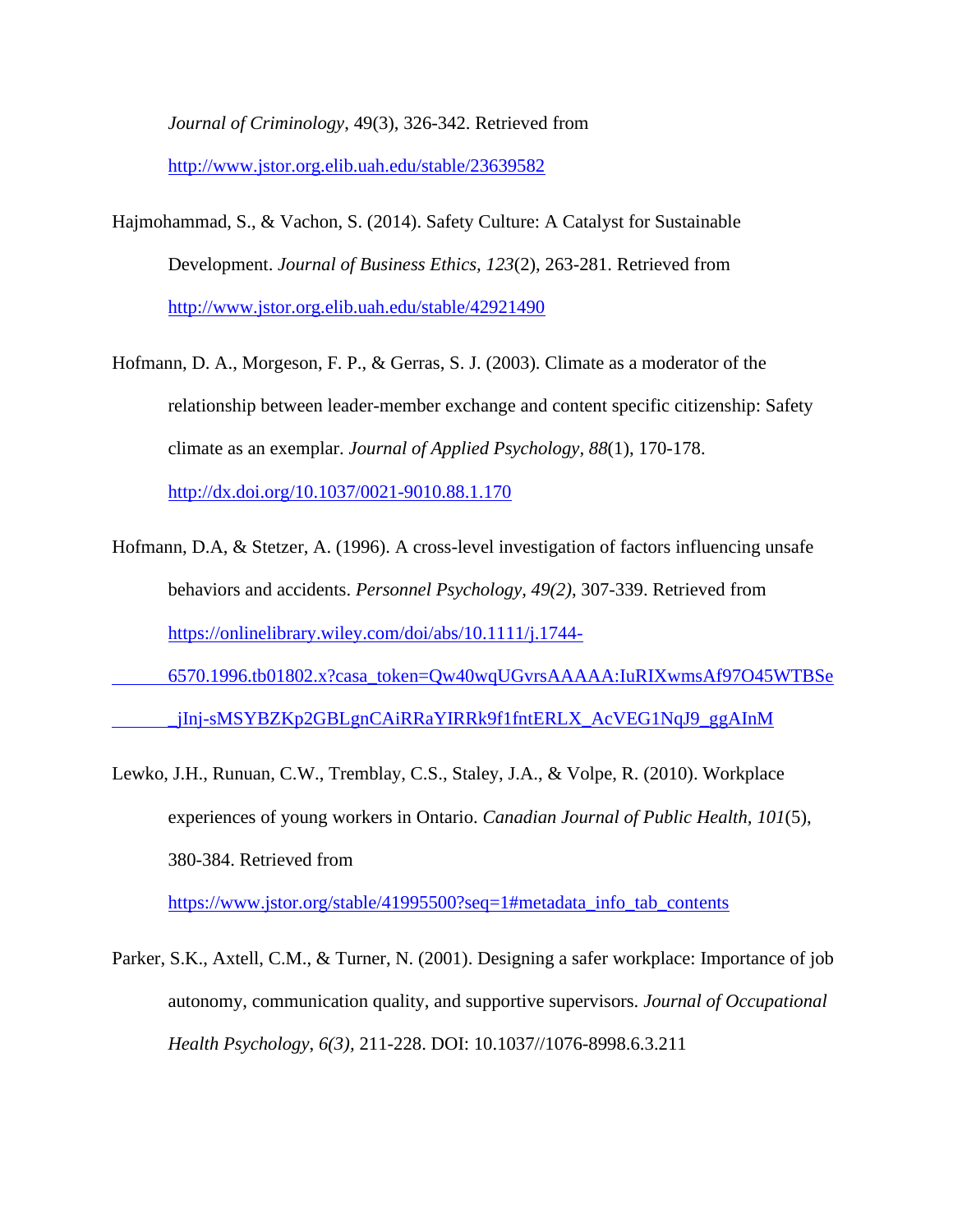*Journal of Criminology*, 49(3), 326-342. Retrieved from

<http://www.jstor.org.elib.uah.edu/stable/23639582>

- Hajmohammad, S., & Vachon, S. (2014). Safety Culture: A Catalyst for Sustainable Development. *Journal of Business Ethics, 123*(2), 263-281. Retrieved from <http://www.jstor.org.elib.uah.edu/stable/42921490>
- Hofmann, D. A., Morgeson, F. P., & Gerras, S. J. (2003). Climate as a moderator of the relationship between leader-member exchange and content specific citizenship: Safety climate as an exemplar. *Journal of Applied Psychology, 88*(1), 170-178. <http://dx.doi.org/10.1037/0021-9010.88.1.170>
- Hofmann, D.A, & Stetzer, A. (1996). A cross-level investigation of factors influencing unsafe behaviors and accidents. *Personnel Psychology, 49(2)*, 307-339. Retrieved from [https://onlinelibrary.wiley.com/doi/abs/10.1111/j.1744-](https://onlinelibrary.wiley.com/doi/abs/10.1111/j.1744-%096570.1996.tb01802.x?casa_token=Qw40wqUGvrsAAAAA:IuRIXwmsAf97O45WTBSe%09_jInj-sMSYBZKp2GBLgnCAiRRaYIRRk9f1fntERLX_AcVEG1NqJ9_ggAInM)
- [6570.1996.tb01802.x?casa\\_token=Qw40wqUGvrsAAAAA:IuRIXwmsAf97O45WTBSe](https://onlinelibrary.wiley.com/doi/abs/10.1111/j.1744-%096570.1996.tb01802.x?casa_token=Qw40wqUGvrsAAAAA:IuRIXwmsAf97O45WTBSe%09_jInj-sMSYBZKp2GBLgnCAiRRaYIRRk9f1fntERLX_AcVEG1NqJ9_ggAInM) [\\_jInj-sMSYBZKp2GBLgnCAiRRaYIRRk9f1fntERLX\\_AcVEG1NqJ9\\_ggAInM](https://onlinelibrary.wiley.com/doi/abs/10.1111/j.1744-%096570.1996.tb01802.x?casa_token=Qw40wqUGvrsAAAAA:IuRIXwmsAf97O45WTBSe%09_jInj-sMSYBZKp2GBLgnCAiRRaYIRRk9f1fntERLX_AcVEG1NqJ9_ggAInM)
- Lewko, J.H., Runuan, C.W., Tremblay, C.S., Staley, J.A., & Volpe, R. (2010). Workplace experiences of young workers in Ontario. *Canadian Journal of Public Health, 101*(5), 380-384. Retrieved from

[https://www.jstor.org/stable/41995500?seq=1#metadata\\_info\\_tab\\_contents](https://www.jstor.org/stable/41995500?seq=1#metadata_info_tab_contents)

Parker, S.K., Axtell, C.M., & Turner, N. (2001). Designing a safer workplace: Importance of job autonomy, communication quality, and supportive supervisors. *Journal of Occupational Health Psychology*, *6(3),* 211-228. DOI: 10.1037//1076-8998.6.3.211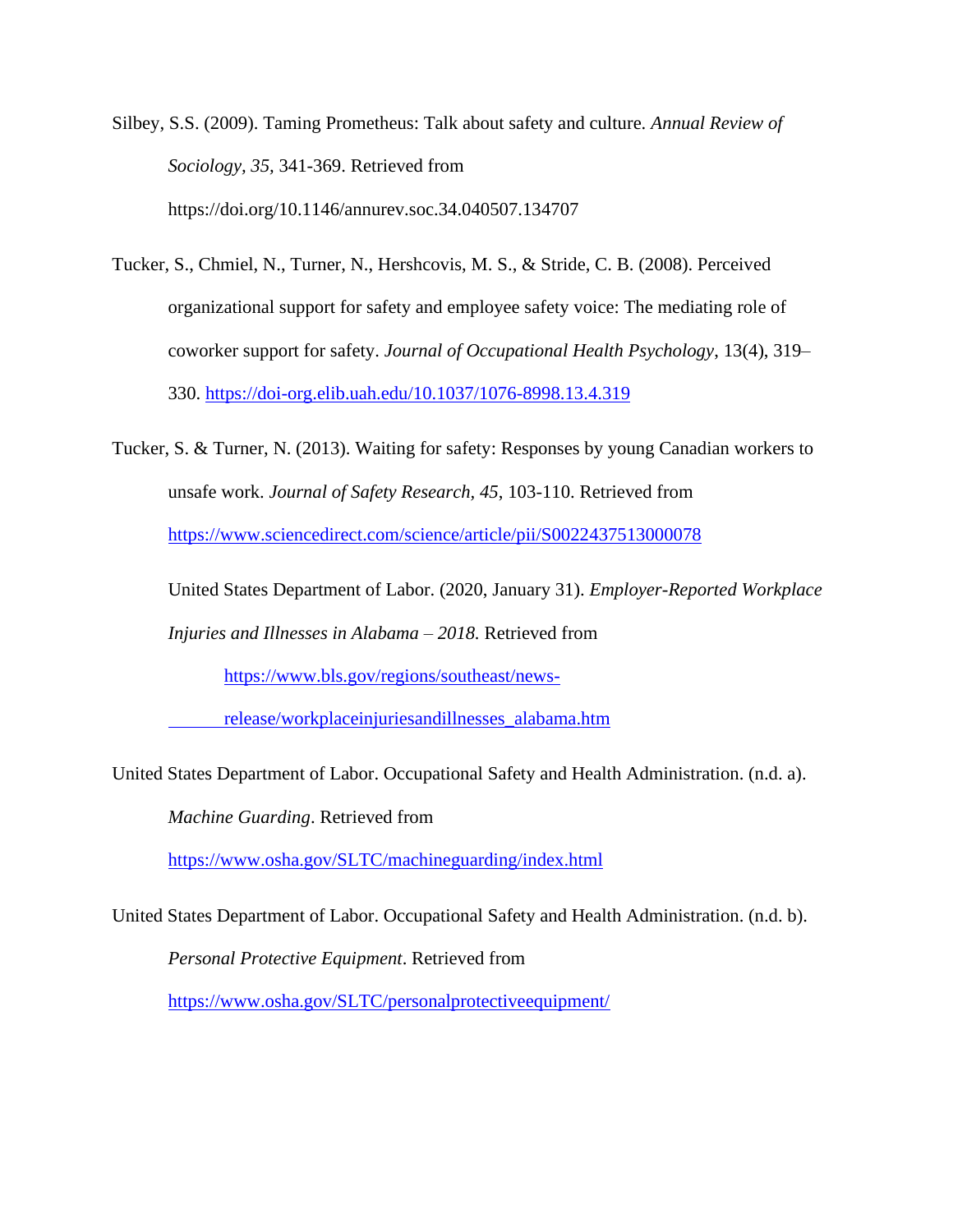Silbey, S.S. (2009). Taming Prometheus: Talk about safety and culture. *Annual Review of Sociology, 35,* 341-369. Retrieved from https://doi.org/10.1146/annurev.soc.34.040507.134707

Tucker, S., Chmiel, N., Turner, N., Hershcovis, M. S., & Stride, C. B. (2008). Perceived organizational support for safety and employee safety voice: The mediating role of coworker support for safety. *Journal of Occupational Health Psychology*, 13(4), 319– 330.<https://doi-org.elib.uah.edu/10.1037/1076-8998.13.4.319>

Tucker, S. & Turner, N. (2013). Waiting for safety: Responses by young Canadian workers to unsafe work. *Journal of Safety Research, 45*, 103-110. Retrieved from <https://www.sciencedirect.com/science/article/pii/S0022437513000078>

United States Department of Labor. (2020, January 31). *Employer-Reported Workplace* 

*Injuries and Illnesses in Alabama – 2018.* Retrieved from

[https://www.bls.gov/regions/southeast/news-](https://www.bls.gov/regions/southeast/news-%09release/workplaceinjuriesandillnesses_alabama.htm)

[release/workplaceinjuriesandillnesses\\_alabama.htm](https://www.bls.gov/regions/southeast/news-%09release/workplaceinjuriesandillnesses_alabama.htm)

United States Department of Labor. Occupational Safety and Health Administration. (n.d. a).

*Machine Guarding*. Retrieved from

<https://www.osha.gov/SLTC/machineguarding/index.html>

United States Department of Labor. Occupational Safety and Health Administration. (n.d. b).

*Personal Protective Equipment*. Retrieved from

<https://www.osha.gov/SLTC/personalprotectiveequipment/>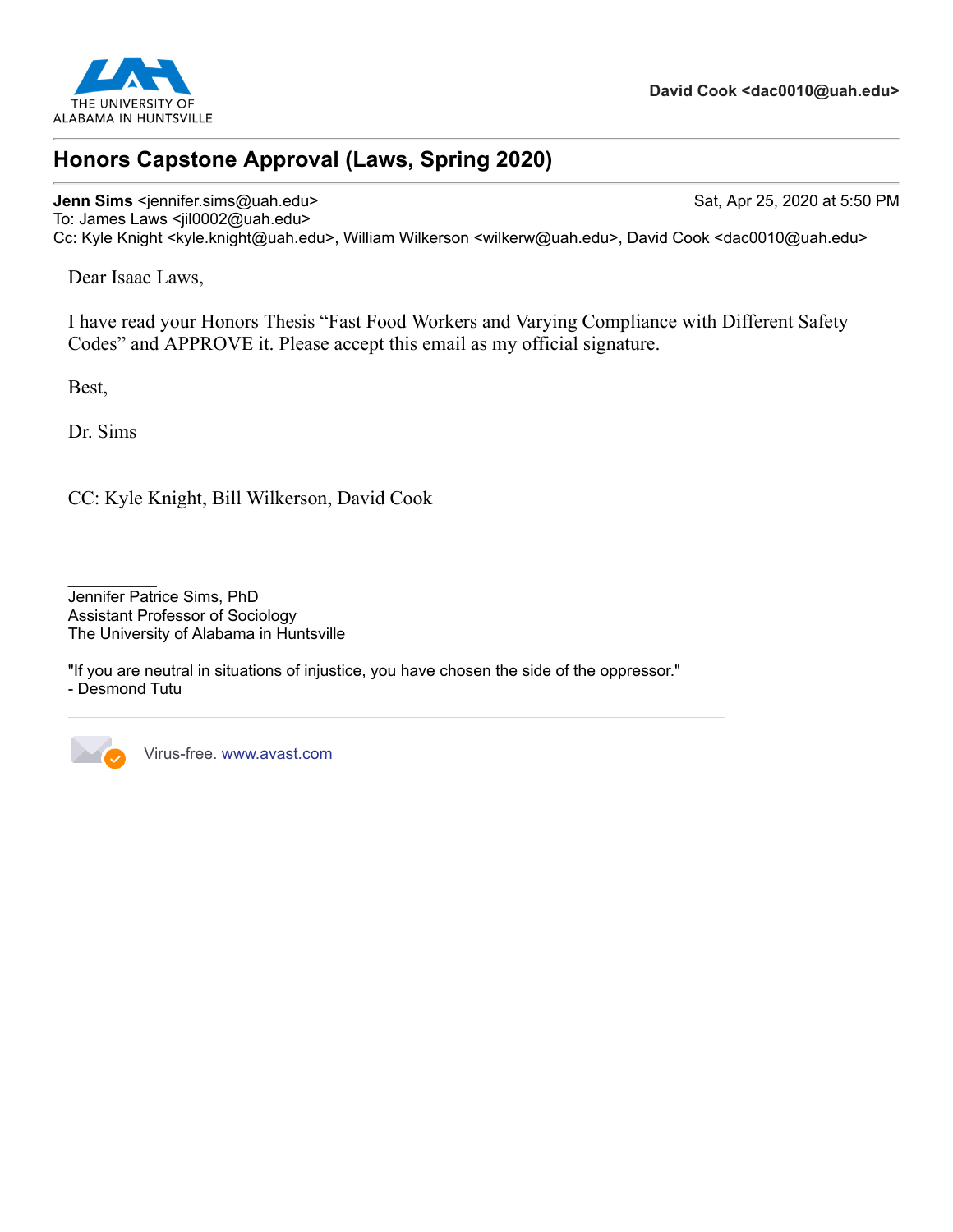

## **Honors Capstone Approval (Laws, Spring 2020)**

#### **Jenn Sims** <jennifer.sims@uah.edu> Sat, Apr 25, 2020 at 5:50 PM To: James Laws <jil0002@uah.edu>

Cc: Kyle Knight <kyle.knight@uah.edu>, William Wilkerson <wilkerw@uah.edu>, David Cook <dac0010@uah.edu>

Dear Isaac Laws,

I have read your Honors Thesis "Fast Food Workers and Varying Compliance with Different Safety Codes" and APPROVE it. Please accept this email as my official signature.

Best,

Dr. Sims

CC: Kyle Knight, Bill Wilkerson, David Cook

"If you are neutral in situations of injustice, you have chosen the side of the oppressor." - Desmond Tutu



Virus-free. [www.avast.com](https://www.avast.com/sig-email?utm_medium=email&utm_source=link&utm_campaign=sig-email&utm_content=webmail&utm_term=link)

 $\frac{1}{2}$ Jennifer Patrice Sims, PhD Assistant Professor of Sociology The University of Alabama in Huntsville